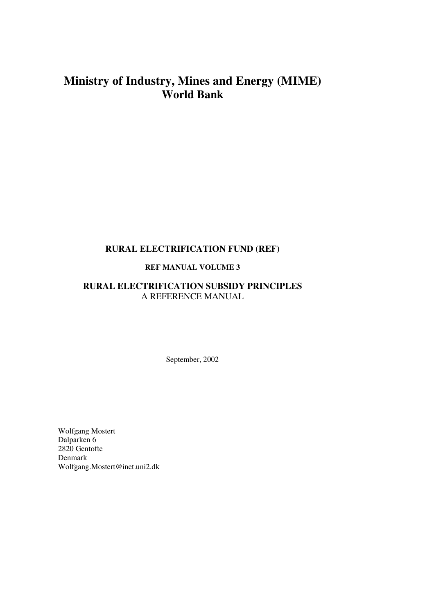# **Ministry of Industry, Mines and Energy (MIME) World Bank**

# **RURAL ELECTRIFICATION FUND (REF)**

# **REF MANUAL VOLUME 3**

# **RURAL ELECTRIFICATION SUBSIDY PRINCIPLES**  A REFERENCE MANUAL

September, 2002

Wolfgang Mostert Dalparken 6 2820 Gentofte Denmark Wolfgang.Mostert@inet.uni2.dk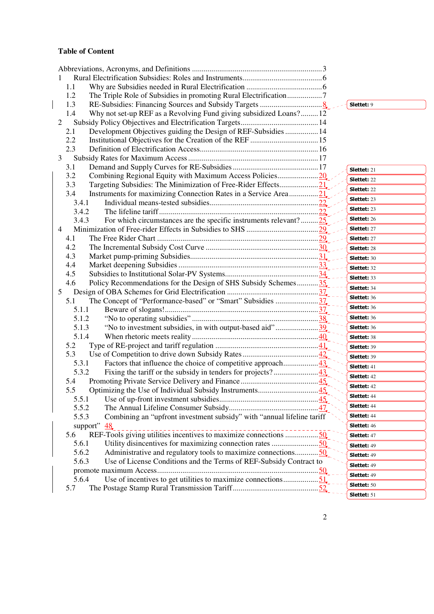# **Table of Content**

| 1.1                                                                             |                    |
|---------------------------------------------------------------------------------|--------------------|
| The Triple Role of Subsidies in promoting Rural Electrification7<br>1.2         |                    |
| 1.3                                                                             | <b>Slettet: 9</b>  |
| Why not set-up REF as a Revolving Fund giving subsidized Loans? 12<br>1.4       |                    |
| 2                                                                               |                    |
| Development Objectives guiding the Design of REF-Subsidies  14<br>2.1           |                    |
| 2.2                                                                             |                    |
| 2.3                                                                             |                    |
| 3                                                                               |                    |
| 3.1                                                                             | <b>Slettet: 21</b> |
| 3.2                                                                             | <b>Slettet: 22</b> |
| 3.3<br>Targeting Subsidies: The Minimization of Free-Rider Effects21            | <b>Slettet: 22</b> |
| Instruments for maximizing Connection Rates in a Service Area21<br>3.4          |                    |
| 3.4.1                                                                           | <b>Slettet: 23</b> |
| 3.4.2                                                                           | <b>Slettet: 23</b> |
| For which circumstances are the specific instruments relevant? $25$<br>3.4.3    | <b>Slettet: 26</b> |
| $\overline{4}$                                                                  | <b>Slettet: 27</b> |
| 4.1                                                                             | <b>Slettet: 27</b> |
| 4.2                                                                             | <b>Slettet: 28</b> |
| 4.3                                                                             | Slettet: 30        |
| 4.4                                                                             | <b>Slettet: 32</b> |
| 4.5                                                                             |                    |
| Policy Recommendations for the Design of SHS Subsidy Schemes35<br>4.6           | Slettet: 33        |
| 5                                                                               | Slettet: 34        |
| The Concept of "Performance-based" or "Smart" Subsidies 37<br>5.1               | Slettet: 36        |
| 5.1.1                                                                           | Slettet: 36        |
| 5.1.2                                                                           | <b>Slettet: 36</b> |
| 5.1.3                                                                           | Slettet: 36        |
| 5.1.4                                                                           | Slettet: 38        |
| 5.2                                                                             | Slettet: 39        |
| 5.3                                                                             | Slettet: 39        |
| 5.3.1                                                                           | Slettet: 41        |
| 5.3.2                                                                           | <b>Slettet: 42</b> |
| 5.4                                                                             | <b>Slettet: 42</b> |
| 5.5                                                                             |                    |
| 5.5.1                                                                           | <b>Slettet: 44</b> |
| 5.5.2                                                                           | Slettet: 44        |
| 5.5.3<br>Combining an "upfront investment subsidy" with "annual lifeline tariff | <b>Slettet: 44</b> |
| support" $\frac{48}{3}$                                                         | Slettet: 46        |
| REF-Tools giving utilities incentives to maximize connections 50<br>5.6         | <b>Slettet: 47</b> |
| 5.6.1<br>Utility disincentives for maximizing connection rates 50               | Slettet: 49        |
| 5.6.2<br>Administrative and regulatory tools to maximize connections50          | Slettet: 49        |
| 5.6.3<br>Use of License Conditions and the Terms of REF-Subsidy Contract to     | Slettet: 49        |
|                                                                                 | Slettet: 49        |
| Use of incentives to get utilities to maximize connections51<br>5.6.4           | Slettet: 50        |
| 5.7                                                                             | Slettet: 51        |
|                                                                                 |                    |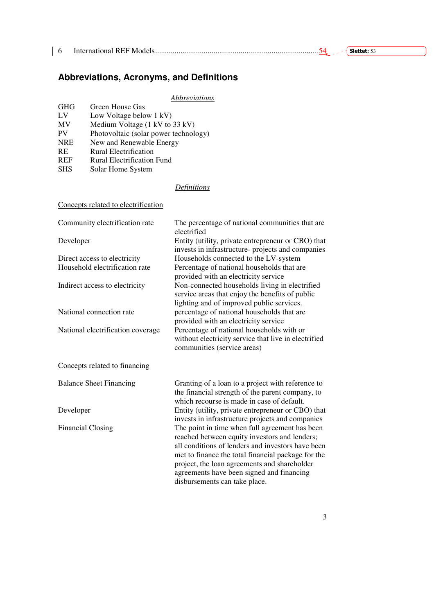|  | Slettet: |
|--|----------|
|  |          |

# **Abbreviations, Acronyms, and Definitions**

# *Abbreviations*

|            | .                                     |
|------------|---------------------------------------|
| <b>GHG</b> | Green House Gas                       |
| LV         | Low Voltage below 1 kV)               |
| <b>MV</b>  | Medium Voltage (1 kV to 33 kV)        |
| PV         | Photovoltaic (solar power technology) |
| <b>NRE</b> | New and Renewable Energy              |
| <b>RE</b>  | Rural Electrification                 |
| <b>REF</b> | Rural Electrification Fund            |
| <b>SHS</b> | Solar Home System                     |
|            |                                       |

#### *Definitions*

| Concepts related to electrification |                                                                                                                                                                                                                                                                                                                                          |
|-------------------------------------|------------------------------------------------------------------------------------------------------------------------------------------------------------------------------------------------------------------------------------------------------------------------------------------------------------------------------------------|
| Community electrification rate      | The percentage of national communities that are<br>electrified                                                                                                                                                                                                                                                                           |
| Developer                           | Entity (utility, private entrepreneur or CBO) that<br>invests in infrastructure- projects and companies                                                                                                                                                                                                                                  |
| Direct access to electricity        | Households connected to the LV-system                                                                                                                                                                                                                                                                                                    |
| Household electrification rate      | Percentage of national households that are<br>provided with an electricity service                                                                                                                                                                                                                                                       |
| Indirect access to electricity      | Non-connected households living in electrified<br>service areas that enjoy the benefits of public<br>lighting and of improved public services.                                                                                                                                                                                           |
| National connection rate            | percentage of national households that are<br>provided with an electricity service                                                                                                                                                                                                                                                       |
| National electrification coverage   | Percentage of national households with or<br>without electricity service that live in electrified<br>communities (service areas)                                                                                                                                                                                                         |
| Concepts related to financing       |                                                                                                                                                                                                                                                                                                                                          |
| <b>Balance Sheet Financing</b>      | Granting of a loan to a project with reference to<br>the financial strength of the parent company, to<br>which recourse is made in case of default.                                                                                                                                                                                      |
| Developer                           | Entity (utility, private entrepreneur or CBO) that<br>invests in infrastructure projects and companies                                                                                                                                                                                                                                   |
| <b>Financial Closing</b>            | The point in time when full agreement has been<br>reached between equity investors and lenders;<br>all conditions of lenders and investors have been<br>met to finance the total financial package for the<br>project, the loan agreements and shareholder<br>agreements have been signed and financing<br>disbursements can take place. |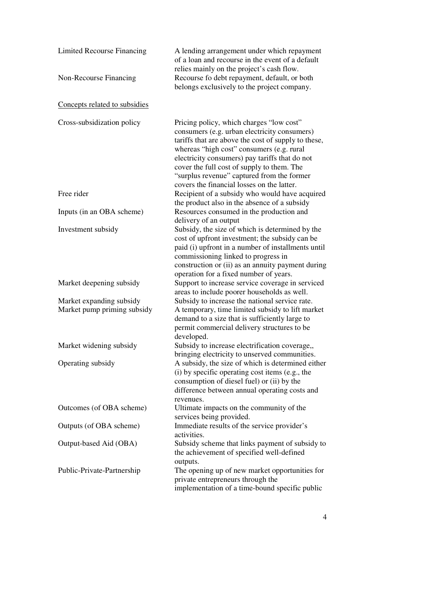| Limited Recourse Financing                              | A lending arrangement under which repayment<br>of a loan and recourse in the event of a default<br>relies mainly on the project's cash flow.                                                                                                                                                                                                                                             |
|---------------------------------------------------------|------------------------------------------------------------------------------------------------------------------------------------------------------------------------------------------------------------------------------------------------------------------------------------------------------------------------------------------------------------------------------------------|
| Non-Recourse Financing                                  | Recourse fo debt repayment, default, or both<br>belongs exclusively to the project company.                                                                                                                                                                                                                                                                                              |
| Concepts related to subsidies                           |                                                                                                                                                                                                                                                                                                                                                                                          |
| Cross-subsidization policy                              | Pricing policy, which charges "low cost"<br>consumers (e.g. urban electricity consumers)<br>tariffs that are above the cost of supply to these,<br>whereas "high cost" consumers (e.g. rural<br>electricity consumers) pay tariffs that do not<br>cover the full cost of supply to them. The<br>"surplus revenue" captured from the former<br>covers the financial losses on the latter. |
| Free rider                                              | Recipient of a subsidy who would have acquired<br>the product also in the absence of a subsidy                                                                                                                                                                                                                                                                                           |
| Inputs (in an OBA scheme)                               | Resources consumed in the production and<br>delivery of an output                                                                                                                                                                                                                                                                                                                        |
| Investment subsidy                                      | Subsidy, the size of which is determined by the<br>cost of upfront investment; the subsidy can be<br>paid (i) upfront in a number of installments until<br>commissioning linked to progress in<br>construction or (ii) as an annuity payment during<br>operation for a fixed number of years.                                                                                            |
| Market deepening subsidy                                | Support to increase service coverage in serviced<br>areas to include poorer households as well.                                                                                                                                                                                                                                                                                          |
| Market expanding subsidy<br>Market pump priming subsidy | Subsidy to increase the national service rate.<br>A temporary, time limited subsidy to lift market<br>demand to a size that is sufficiently large to<br>permit commercial delivery structures to be<br>developed.                                                                                                                                                                        |
| Market widening subsidy                                 | Subsidy to increase electrification coverage,,<br>bringing electricity to unserved communities.                                                                                                                                                                                                                                                                                          |
| Operating subsidy                                       | A subsidy, the size of which is determined either<br>(i) by specific operating cost items (e.g., the<br>consumption of diesel fuel) or (ii) by the<br>difference between annual operating costs and<br>revenues.                                                                                                                                                                         |
| Outcomes (of OBA scheme)                                | Ultimate impacts on the community of the<br>services being provided.                                                                                                                                                                                                                                                                                                                     |
| Outputs (of OBA scheme)                                 | Immediate results of the service provider's<br>activities.                                                                                                                                                                                                                                                                                                                               |
| Output-based Aid (OBA)                                  | Subsidy scheme that links payment of subsidy to<br>the achievement of specified well-defined<br>outputs.                                                                                                                                                                                                                                                                                 |
| Public-Private-Partnership                              | The opening up of new market opportunities for<br>private entrepreneurs through the<br>implementation of a time-bound specific public                                                                                                                                                                                                                                                    |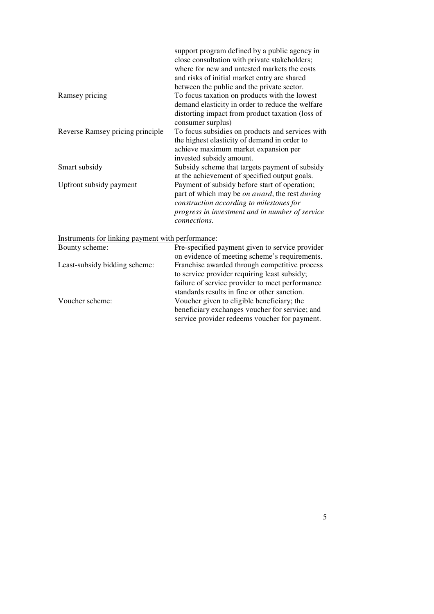|                                  | support program defined by a public agency in                 |
|----------------------------------|---------------------------------------------------------------|
|                                  | close consultation with private stakeholders;                 |
|                                  | where for new and untested markets the costs                  |
|                                  | and risks of initial market entry are shared                  |
|                                  | between the public and the private sector.                    |
| Ramsey pricing                   | To focus taxation on products with the lowest                 |
|                                  | demand elasticity in order to reduce the welfare              |
|                                  | distorting impact from product taxation (loss of              |
|                                  | consumer surplus)                                             |
| Reverse Ramsey pricing principle | To focus subsidies on products and services with              |
|                                  | the highest elasticity of demand in order to                  |
|                                  | achieve maximum market expansion per                          |
|                                  | invested subsidy amount.                                      |
| Smart subsidy                    | Subsidy scheme that targets payment of subsidy                |
|                                  | at the achievement of specified output goals.                 |
| Upfront subsidy payment          | Payment of subsidy before start of operation;                 |
|                                  | part of which may be <i>on award</i> , the rest <i>during</i> |
|                                  | construction according to milestones for                      |
|                                  | progress in investment and in number of service               |
|                                  | <i>connections.</i>                                           |
|                                  |                                                               |

Instruments for linking payment with performance:

| Bounty scheme:                | Pre-specified payment given to service provider |
|-------------------------------|-------------------------------------------------|
|                               | on evidence of meeting scheme's requirements.   |
| Least-subsidy bidding scheme: | Franchise awarded through competitive process   |
|                               | to service provider requiring least subsidy;    |
|                               | failure of service provider to meet performance |
|                               | standards results in fine or other sanction.    |
| Voucher scheme:               | Voucher given to eligible beneficiary; the      |
|                               | beneficiary exchanges voucher for service; and  |
|                               | service provider redeems voucher for payment.   |
|                               |                                                 |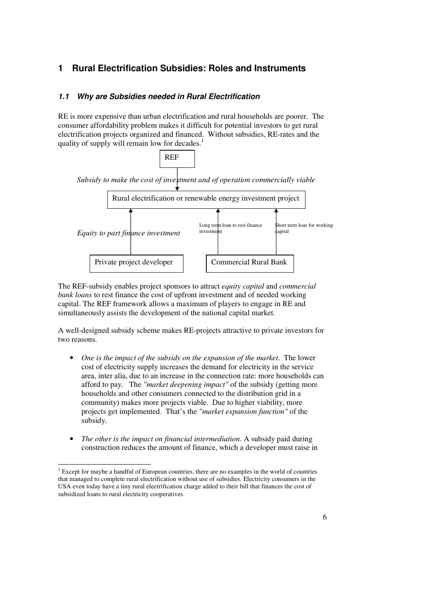# **1 Rural Electrification Subsidies: Roles and Instruments**

## **1.1 Why are Subsidies needed in Rural Electrification**

RE is more expensive than urban electrification and rural households are poorer. The consumer affordability problem makes it difficult for potential investors to get rural electrification projects organized and financed. Without subsidies, RE-rates and the quality of supply will remain low for decades.



The REF-subsidy enables project sponsors to attract *equity capital* and *commercial bank loans* to rest finance the cost of upfront investment and of needed working capital. The REF framework allows a maximum of players to engage in RE and simultaneously assists the development of the national capital market.

A well-designed subsidy scheme makes RE-projects attractive to private investors for two reasons.

- *One is the impact of the subsidy on the expansion of the market*. The lower cost of electricity supply increases the demand for electricity in the service area, inter alia, due to an increase in the connection rate: more households can afford to pay*.* The *"market deepening impact"* of the subsidy (getting more households and other consumers connected to the distribution grid in a community) makes more projects viable. Due to higher viability, more projects get implemented. That's the *"market expansion function"* of the subsidy.
- *The other is the impact on financial intermediation*. A subsidy paid during construction reduces the amount of finance, which a developer must raise in

<sup>&</sup>lt;sup>1</sup> Except for maybe a handful of European countries, there are no examples in the world of countries that managed to complete rural electrification without use of subsidies. Electricity consumers in the USA even today have a tiny rural electrification charge added to their bill that finances the cost of subsidized loans to rural electricity cooperatives.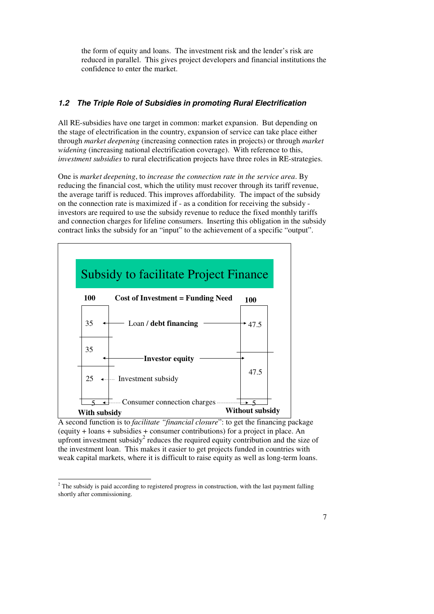the form of equity and loans. The investment risk and the lender's risk are reduced in parallel. This gives project developers and financial institutions the confidence to enter the market.

## **1.2 The Triple Role of Subsidies in promoting Rural Electrification**

All RE-subsidies have one target in common: market expansion. But depending on the stage of electrification in the country, expansion of service can take place either through *market deepening* (increasing connection rates in projects) or through *market widening* (increasing national electrification coverage). With reference to this, *investment subsidies* to rural electrification projects have three roles in RE-strategies.

One is *market deepening*, to *increase the connection rate in the service area*. By reducing the financial cost, which the utility must recover through its tariff revenue, the average tariff is reduced. This improves affordability*.* The impact of the subsidy on the connection rate is maximized if - as a condition for receiving the subsidy investors are required to use the subsidy revenue to reduce the fixed monthly tariffs and connection charges for lifeline consumers. Inserting this obligation in the subsidy contract links the subsidy for an "input" to the achievement of a specific "output".



A second function is to *facilitate "financial closure*": to get the financing package (equity + loans + subsidies + consumer contributions) for a project in place. An upfront investment subsidy<sup>2</sup> reduces the required equity contribution and the size of the investment loan. This makes it easier to get projects funded in countries with weak capital markets, where it is difficult to raise equity as well as long-term loans.

<sup>&</sup>lt;sup>2</sup> The subsidy is paid according to registered progress in construction, with the last payment falling shortly after commissioning.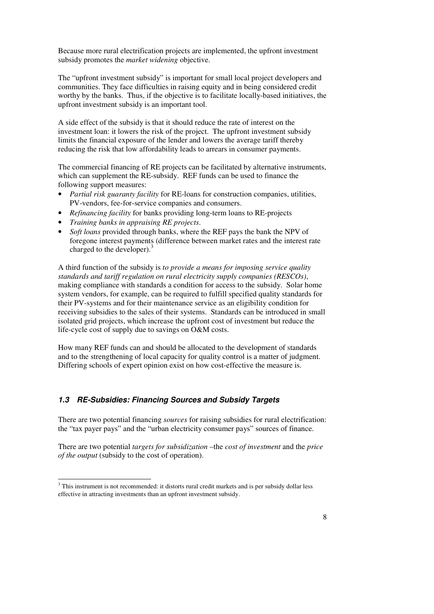Because more rural electrification projects are implemented, the upfront investment subsidy promotes the *market widening* objective.

The "upfront investment subsidy" is important for small local project developers and communities. They face difficulties in raising equity and in being considered credit worthy by the banks. Thus, if the objective is to facilitate locally-based initiatives, the upfront investment subsidy is an important tool.

A side effect of the subsidy is that it should reduce the rate of interest on the investment loan: it lowers the risk of the project. The upfront investment subsidy limits the financial exposure of the lender and lowers the average tariff thereby reducing the risk that low affordability leads to arrears in consumer payments.

The commercial financing of RE projects can be facilitated by alternative instruments, which can supplement the RE-subsidy. REF funds can be used to finance the following support measures:

- *Partial risk guaranty facility* for RE-loans for construction companies, utilities, PV-vendors, fee-for-service companies and consumers.
- *Refinancing facility* for banks providing long-term loans to RE-projects
- *Training banks in appraising RE projects*.
- *Soft loans* provided through banks, where the REF pays the bank the NPV of foregone interest payments (difference between market rates and the interest rate charged to the developer).<sup>3</sup>

A third function of the subsidy is *to provide a means for imposing service quality standards and tariff regulation on rural electricity supply companies (RESCOs)*, making compliance with standards a condition for access to the subsidy. Solar home system vendors, for example, can be required to fulfill specified quality standards for their PV-systems and for their maintenance service as an eligibility condition for receiving subsidies to the sales of their systems. Standards can be introduced in small isolated grid projects, which increase the upfront cost of investment but reduce the life-cycle cost of supply due to savings on O&M costs.

How many REF funds can and should be allocated to the development of standards and to the strengthening of local capacity for quality control is a matter of judgment. Differing schools of expert opinion exist on how cost-effective the measure is.

#### **1.3 RE-Subsidies: Financing Sources and Subsidy Targets**

There are two potential financing *sources* for raising subsidies for rural electrification: the "tax payer pays" and the "urban electricity consumer pays" sources of finance.

There are two potential *targets for subsidization* –the *cost of investment* and the *price of the output* (subsidy to the cost of operation).

<sup>&</sup>lt;sup>3</sup> This instrument is not recommended: it distorts rural credit markets and is per subsidy dollar less effective in attracting investments than an upfront investment subsidy.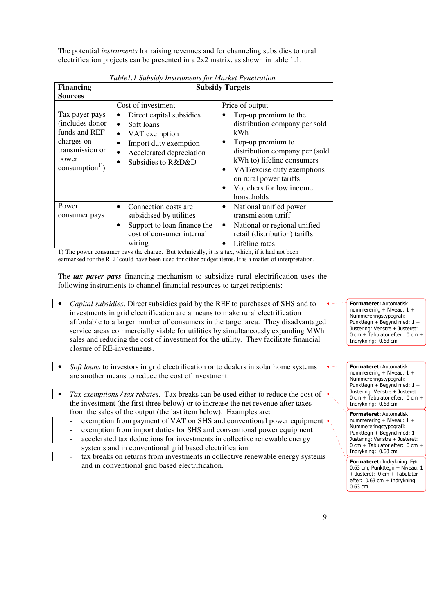The potential *instruments* for raising revenues and for channeling subsidies to rural electrification projects can be presented in a 2x2 matrix, as shown in table 1.1.

| <b>Financing</b>                                                                                                            | <b>Subsidy Targets</b>                                                                                                                                                                                                    |                                                                                                                                                                                                                                                                                          |  |  |  |
|-----------------------------------------------------------------------------------------------------------------------------|---------------------------------------------------------------------------------------------------------------------------------------------------------------------------------------------------------------------------|------------------------------------------------------------------------------------------------------------------------------------------------------------------------------------------------------------------------------------------------------------------------------------------|--|--|--|
| <b>Sources</b>                                                                                                              |                                                                                                                                                                                                                           |                                                                                                                                                                                                                                                                                          |  |  |  |
| Tax payer pays<br>(includes donor<br>funds and REF<br>charges on<br>transmission or<br>power<br>consumption <sup>1)</sup> ) | Cost of investment<br>Direct capital subsidies<br>$\bullet$<br>Soft loans<br>$\bullet$<br>VAT exemption<br>$\bullet$<br>Import duty exemption<br>$\bullet$<br>Accelerated depreciation<br>Subsidies to R&D&D<br>$\bullet$ | Price of output<br>Top-up premium to the<br>distribution company per sold<br>kWh<br>Top-up premium to<br>$\bullet$<br>distribution company per (sold<br>kWh to) lifeline consumers<br>VAT/excise duty exemptions<br>٠<br>on rural power tariffs<br>Vouchers for low income<br>households |  |  |  |
| Power<br>consumer pays                                                                                                      | Connection costs are<br>$\bullet$<br>subsidised by utilities<br>Support to loan finance the<br>$\bullet$<br>cost of consumer internal<br>wiring                                                                           | National unified power<br>٠<br>transmission tariff<br>National or regional unified<br>$\bullet$<br>retail (distribution) tariffs<br>Lifeline rates                                                                                                                                       |  |  |  |

*Table1.1 Subsidy Instruments for Market Penetration*

1) The power consumer pays the charge. But technically, it is a tax, which, if it had not been earmarked for the REF could have been used for other budget items. It is a matter of interpretation.

The *tax payer pays* financing mechanism to subsidize rural electrification uses the following instruments to channel financial resources to target recipients:

- *Capital subsidies*. Direct subsidies paid by the REF to purchases of SHS and to investments in grid electrification are a means to make rural electrification affordable to a larger number of consumers in the target area. They disadvantaged service areas commercially viable for utilities by simultaneously expanding MWh sales and reducing the cost of investment for the utility. They facilitate financial closure of RE-investments.
- *Soft loans* to investors in grid electrification or to dealers in solar home systems are another means to reduce the cost of investment.
- *Tax exemptions / tax rebates*. Tax breaks can be used either to reduce the cost of the investment (the first three below) or to increase the net revenue after taxes from the sales of the output (the last item below). Examples are:
	- exemption from payment of VAT on SHS and conventional power equipment  $\cdot$
	- exemption from import duties for SHS and conventional power equipment
	- accelerated tax deductions for investments in collective renewable energy systems and in conventional grid based electrification
	- tax breaks on returns from investments in collective renewable energy systems and in conventional grid based electrification.

Formateret: Automatisk nummerering + Niveau: 1 + Nummereringstypografi: Punkttegn + Begynd med: 1 + Justering: Venstre + Justeret: 0 cm + Tabulator efter: 0 cm + Indrykning: 0.63 cm

Formateret: Automatisk nummerering + Niveau: 1 + Nummereringstypografi: Punkttegn + Begynd med:  $1 +$ Justering: Venstre + Justeret: 0 cm + Tabulator efter: 0 cm + Indrykning: 0.63 cm

Formateret: Automatisk nummerering + Niveau: 1 + Nummereringstypografi: Punkttegn + Begynd med: 1 + Justering: Venstre + Justeret: 0 cm + Tabulator efter: 0 cm + Indrykning: 0.63 cm

Formateret: Indrykning: Før: 0.63 cm, Punkttegn + Niveau: 1 + Justeret: 0 cm + Tabulator efter: 0.63 cm + Indrykning: 0.63 cm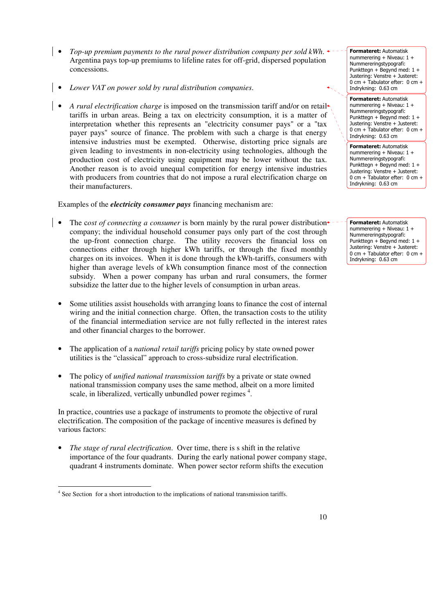- *Top-up premium payments to the rural power distribution company per sold kWh*. Argentina pays top-up premiums to lifeline rates for off-grid, dispersed population concessions.
- *Lower VAT on power sold by rural distribution companies*.
- *A rural electrification charge* is imposed on the transmission tariff and/or on retail tariffs in urban areas. Being a tax on electricity consumption, it is a matter of interpretation whether this represents an "electricity consumer pays" or a "tax payer pays" source of finance. The problem with such a charge is that energy intensive industries must be exempted. Otherwise, distorting price signals are given leading to investments in non-electricity using technologies, although the production cost of electricity using equipment may be lower without the tax. Another reason is to avoid unequal competition for energy intensive industries with producers from countries that do not impose a rural electrification charge on their manufacturers.

Examples of the *electricity consumer pays* financing mechanism are:

- The cost of connecting a consumer is born mainly by the rural power distribution $\triangle$ company; the individual household consumer pays only part of the cost through the up-front connection charge. The utility recovers the financial loss on connections either through higher kWh tariffs, or through the fixed monthly charges on its invoices. When it is done through the kWh-tariffs, consumers with higher than average levels of kWh consumption finance most of the connection subsidy. When a power company has urban and rural consumers, the former subsidize the latter due to the higher levels of consumption in urban areas.
- Some utilities assist households with arranging loans to finance the cost of internal wiring and the initial connection charge. Often, the transaction costs to the utility of the financial intermediation service are not fully reflected in the interest rates and other financial charges to the borrower.
- The application of a *national retail tariffs* pricing policy by state owned power utilities is the "classical" approach to cross-subsidize rural electrification.
- The policy of *unified national transmission tariffs* by a private or state owned national transmission company uses the same method, albeit on a more limited scale, in liberalized, vertically unbundled power regimes  $4$ .

In practice, countries use a package of instruments to promote the objective of rural electrification. The composition of the package of incentive measures is defined by various factors:

• *The stage of rural electrification*. Over time, there is s shift in the relative importance of the four quadrants. During the early national power company stage, quadrant 4 instruments dominate. When power sector reform shifts the execution

Formateret: Automatisk nummerering + Niveau: 1 + Nummereringstypografi: Punkttegn + Begynd med:  $1 +$ Justering: Venstre + Justeret: 0 cm + Tabulator efter: 0 cm + Indrykning: 0.63 cm

Formateret: Automatisk nummerering + Niveau: 1 + Nummereringstypografi: Punkttegn + Begynd med: 1 + Justering: Venstre + Justeret: 0 cm + Tabulator efter: 0 cm + Indrykning: 0.63 cm

Formateret: Automatisk nummerering + Niveau: 1 + Nummereringstypografi: Punkttegn + Begynd med: 1 + Justering: Venstre + Justeret: 0 cm + Tabulator efter: 0 cm + Indrykning: 0.63 cm

Formateret: Automatisk nummerering + Niveau: 1 + Nummereringstypografi: Punkttegn + Begynd med: 1 + Justering: Venstre + Justeret: 0 cm + Tabulator efter: 0 cm + Indrykning: 0.63 cm

 4 See Section for a short introduction to the implications of national transmission tariffs.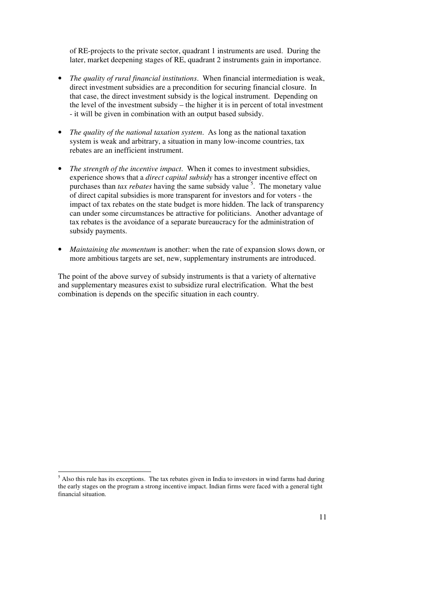of RE-projects to the private sector, quadrant 1 instruments are used. During the later, market deepening stages of RE, quadrant 2 instruments gain in importance.

- *The quality of rural financial institutions*. When financial intermediation is weak, direct investment subsidies are a precondition for securing financial closure. In that case, the direct investment subsidy is the logical instrument. Depending on the level of the investment subsidy – the higher it is in percent of total investment - it will be given in combination with an output based subsidy.
- *The quality of the national taxation system*. As long as the national taxation system is weak and arbitrary, a situation in many low-income countries, tax rebates are an inefficient instrument.
- *The strength of the incentive impact*. When it comes to investment subsidies, experience shows that a *direct capital subsidy* has a stronger incentive effect on purchases than *tax rebates* having the same subsidy value<sup>5</sup>. The monetary value of direct capital subsidies is more transparent for investors and for voters - the impact of tax rebates on the state budget is more hidden. The lack of transparency can under some circumstances be attractive for politicians. Another advantage of tax rebates is the avoidance of a separate bureaucracy for the administration of subsidy payments.
- *Maintaining the momentum* is another: when the rate of expansion slows down, or more ambitious targets are set, new, supplementary instruments are introduced.

The point of the above survey of subsidy instruments is that a variety of alternative and supplementary measures exist to subsidize rural electrification. What the best combination is depends on the specific situation in each country.

<sup>&</sup>lt;sup>5</sup> Also this rule has its exceptions. The tax rebates given in India to investors in wind farms had during the early stages on the program a strong incentive impact. Indian firms were faced with a general tight financial situation.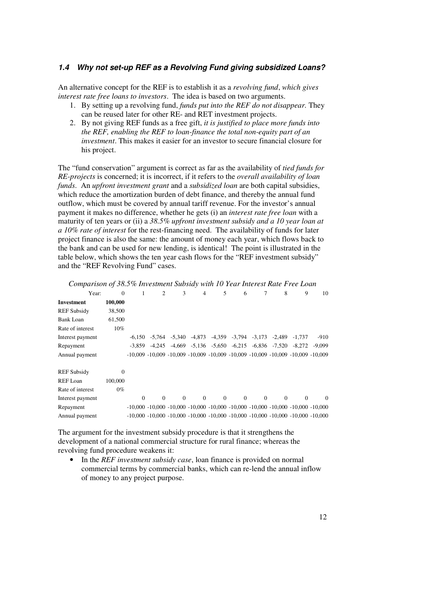#### **1.4 Why not set-up REF as a Revolving Fund giving subsidized Loans?**

An alternative concept for the REF is to establish it as a *revolving fund*, *which gives interest rate free loans to investors*. The idea is based on two arguments.

- 1. By setting up a revolving fund, *funds put into the REF do not disappear.* They can be reused later for other RE- and RET investment projects.
- 2. By not giving REF funds as a free gift, *it is justified to place more funds into the REF, enabling the REF to loan-finance the total non-equity part of an investment*. This makes it easier for an investor to secure financial closure for his project.

The "fund conservation" argument is correct as far as the availability of *tied funds for RE-projects* is concerned; it is incorrect, if it refers to the *overall availability of loan funds*. An *upfront investment grant* and a *subsidized loan* are both capital subsidies, which reduce the amortization burden of debt finance, and thereby the annual fund outflow, which must be covered by annual tariff revenue. For the investor's annual payment it makes no difference, whether he gets (i) an *interest rate free loan* with a maturity of ten years or (ii) a *38.5% upfront investment subsidy and a 10 year loan at a 10% rate of interest* for the rest-financing need. The availability of funds for later project finance is also the same: the amount of money each year, which flows back to the bank and can be used for new lending, is identical! The point is illustrated in the table below, which shows the ten year cash flows for the "REF investment subsidy" and the "REF Revolving Fund" cases.

| Year:              | $\Omega$ |          | $\overline{c}$ | 3                    | $\overline{4}$ | 5                 | 6        |                            | 8                 | 9                                                                                                   | 10       |
|--------------------|----------|----------|----------------|----------------------|----------------|-------------------|----------|----------------------------|-------------------|-----------------------------------------------------------------------------------------------------|----------|
| Investment         | 100,000  |          |                |                      |                |                   |          |                            |                   |                                                                                                     |          |
| <b>REF Subsidy</b> | 38,500   |          |                |                      |                |                   |          |                            |                   |                                                                                                     |          |
| <b>Bank Loan</b>   | 61,500   |          |                |                      |                |                   |          |                            |                   |                                                                                                     |          |
| Rate of interest   | 10%      |          |                |                      |                |                   |          |                            |                   |                                                                                                     |          |
| Interest payment   |          |          |                | -6.150 -5.764 -5.340 | $-4,873$       | $-4,359$          |          | $-3,794$ $-3,173$ $-2,489$ |                   | $-1.737$                                                                                            | $-910$   |
| Repayment          |          | -3.859   | -4.245         | -4.669               |                | $-5,136$ $-5,650$ | $-6,215$ |                            | $-6,836$ $-7,520$ | $-8.272$                                                                                            | $-9.099$ |
| Annual payment     |          |          |                |                      |                |                   |          |                            |                   | $-10,009 - 10,009 - 10,009 - 10,009 - 10,009 - 10,009 - 10,009 - 10,009 - 10,009 - 10,009$          |          |
|                    |          |          |                |                      |                |                   |          |                            |                   |                                                                                                     |          |
| <b>REF Subsidy</b> | 0        |          |                |                      |                |                   |          |                            |                   |                                                                                                     |          |
| REF Loan           | 100,000  |          |                |                      |                |                   |          |                            |                   |                                                                                                     |          |
| Rate of interest   | $0\%$    |          |                |                      |                |                   |          |                            |                   |                                                                                                     |          |
| Interest payment   |          | $\Omega$ | $\Omega$       | $\Omega$             | $\Omega$       | $\Omega$          | $\Omega$ | $\Omega$                   | $\Omega$          | $\Omega$                                                                                            | $\Omega$ |
| Repayment          |          |          |                |                      |                |                   |          |                            |                   | $-10,000$ $-10,000$ $-10,000$ $-10,000$ $-10,000$ $-10,000$ $-10,000$ $-10,000$ $-10,000$ $-10,000$ |          |
| Annual payment     |          |          |                |                      |                |                   |          |                            |                   | $-10,000$ $-10,000$ $-10,000$ $-10,000$ $-10,000$ $-10,000$ $-10,000$ $-10,000$ $-10,000$ $-10,000$ |          |

*Comparison of 38.5% Investment Subsidy with 10 Year Interest Rate Free Loan* 

The argument for the investment subsidy procedure is that it strengthens the development of a national commercial structure for rural finance; whereas the revolving fund procedure weakens it:

• In the *REF investment subsidy case*, loan finance is provided on normal commercial terms by commercial banks, which can re-lend the annual inflow of money to any project purpose.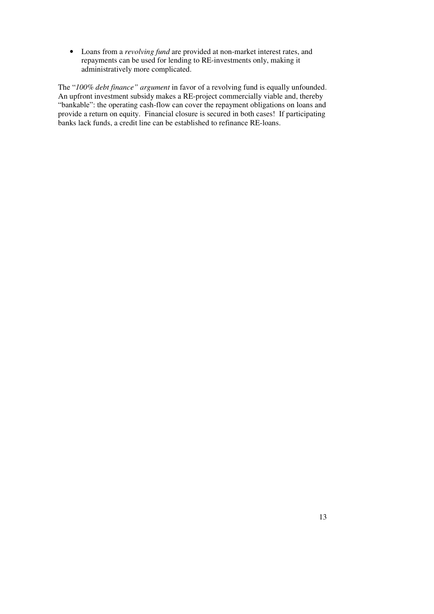• Loans from a *revolving fund* are provided at non-market interest rates, and repayments can be used for lending to RE-investments only, making it administratively more complicated.

The "*100% debt finance" argument* in favor of a revolving fund is equally unfounded. An upfront investment subsidy makes a RE-project commercially viable and, thereby "bankable": the operating cash-flow can cover the repayment obligations on loans and provide a return on equity. Financial closure is secured in both cases! If participating banks lack funds, a credit line can be established to refinance RE-loans.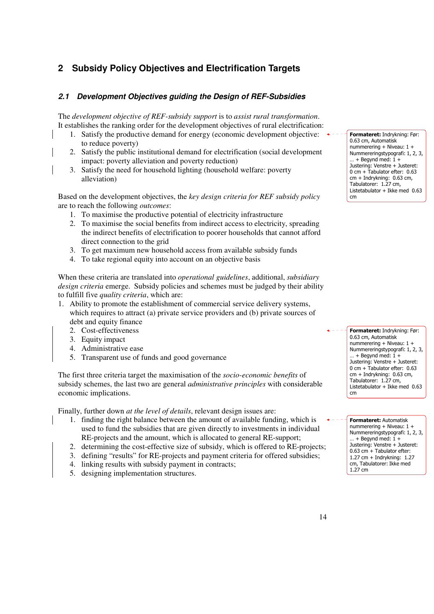# **2 Subsidy Policy Objectives and Electrification Targets**

# **2.1 Development Objectives guiding the Design of REF-Subsidies**

The *development objective of REF-subsidy support* is to *assist rural transformation*. It establishes the ranking order for the development objectives of rural electrification:

- 1. Satisfy the productive demand for energy (economic development objective: to reduce poverty)
- 2. Satisfy the public institutional demand for electrification (social development impact: poverty alleviation and poverty reduction)
- 3. Satisfy the need for household lighting (household welfare: poverty alleviation)

Based on the development objectives, the *key design criteria for REF subsidy policy* are to reach the following *outcomes*:

- 1. To maximise the productive potential of electricity infrastructure
- 2. To maximise the social benefits from indirect access to electricity, spreading the indirect benefits of electrification to poorer households that cannot afford direct connection to the grid
- 3. To get maximum new household access from available subsidy funds
- 4. To take regional equity into account on an objective basis

When these criteria are translated into *operational guidelines*, additional, *subsidiary design criteria* emerge. Subsidy policies and schemes must be judged by their ability to fulfill five *quality criteria*, which are:

- 1. Ability to promote the establishment of commercial service delivery systems, which requires to attract (a) private service providers and (b) private sources of debt and equity finance
	- 2. Cost-effectiveness
	- 3. Equity impact
	- 4. Administrative ease
	- 5. Transparent use of funds and good governance

The first three criteria target the maximisation of the *socio-economic benefits* of subsidy schemes, the last two are general *administrative principles* with considerable economic implications.

Finally, further down *at the level of details*, relevant design issues are:

- 1. finding the right balance between the amount of available funding, which is used to fund the subsidies that are given directly to investments in individual RE-projects and the amount, which is allocated to general RE-support;
- 2. determining the cost-effective size of subsidy, which is offered to RE-projects;
- 3. defining "results" for RE-projects and payment criteria for offered subsidies;
- 4. linking results with subsidy payment in contracts;
- 5. designing implementation structures.

Formateret: Indrykning: Før: 0.63 cm, Automatisk nummerering + Niveau: 1 + Nummereringstypografi: 1, 2, 3,  $... +$  Begynd med:  $1 +$ Justering: Venstre + Justeret: 0 cm + Tabulator efter: 0.63 cm + Indrykning: 0.63 cm, Tabulatorer: 1.27 cm, Listetabulator + Ikke med 0.63 cm

Formateret: Indrykning: Før: 0.63 cm, Automatisk nummerering + Niveau: 1 + Nummereringstypografi: 1, 2, 3,  $...$  + Begynd med:  $1 +$ Justering: Venstre + Justeret: 0 cm + Tabulator efter: 0.63 cm + Indrykning: 0.63 cm, Tabulatorer: 1.27 cm, Listetabulator + Ikke med 0.63 cm

Formateret: Automatisk nummerering + Niveau: 1 + Nummereringstypografi: 1, 2, 3,  $\ldots$  + Begynd med: 1 + Justering: Venstre + Justeret: 0.63 cm + Tabulator efter: 1.27 cm + Indrykning: 1.27 cm, Tabulatorer: Ikke med 1.27 cm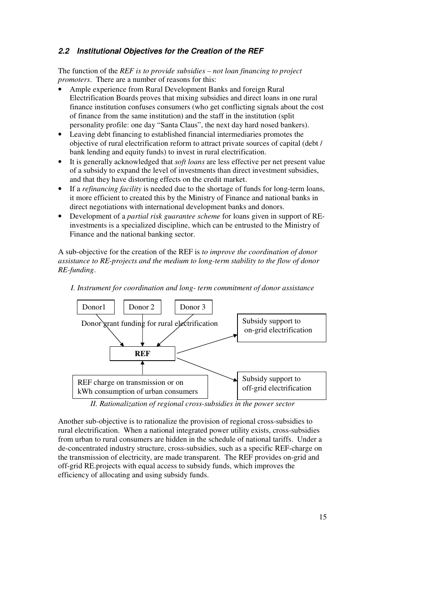#### **2.2 Institutional Objectives for the Creation of the REF**

The function of the *REF is to provide subsidies – not loan financing to project promoters*. There are a number of reasons for this:

- Ample experience from Rural Development Banks and foreign Rural Electrification Boards proves that mixing subsidies and direct loans in one rural finance institution confuses consumers (who get conflicting signals about the cost of finance from the same institution) and the staff in the institution (split personality profile: one day "Santa Claus", the next day hard nosed bankers).
- Leaving debt financing to established financial intermediaries promotes the objective of rural electrification reform to attract private sources of capital (debt / bank lending and equity funds) to invest in rural electrification.
- It is generally acknowledged that *soft loans* are less effective per net present value of a subsidy to expand the level of investments than direct investment subsidies, and that they have distorting effects on the credit market.
- If a *refinancing facility* is needed due to the shortage of funds for long-term loans, it more efficient to created this by the Ministry of Finance and national banks in direct negotiations with international development banks and donors.
- Development of a *partial risk guarantee scheme* for loans given in support of REinvestments is a specialized discipline, which can be entrusted to the Ministry of Finance and the national banking sector.

A sub-objective for the creation of the REF is *to improve the coordination of donor assistance to RE-projects and the medium to long-term stability to the flow of donor RE-funding*.



*I. Instrument for coordination and long- term commitment of donor assistance*

*II. Rationalization of regional cross-subsidies in the power sector*

Another sub-objective is to rationalize the provision of regional cross-subsidies to rural electrification. When a national integrated power utility exists, cross-subsidies from urban to rural consumers are hidden in the schedule of national tariffs. Under a de-concentrated industry structure, cross-subsidies, such as a specific REF-charge on the transmission of electricity, are made transparent. The REF provides on-grid and off-grid RE.projects with equal access to subsidy funds, which improves the efficiency of allocating and using subsidy funds.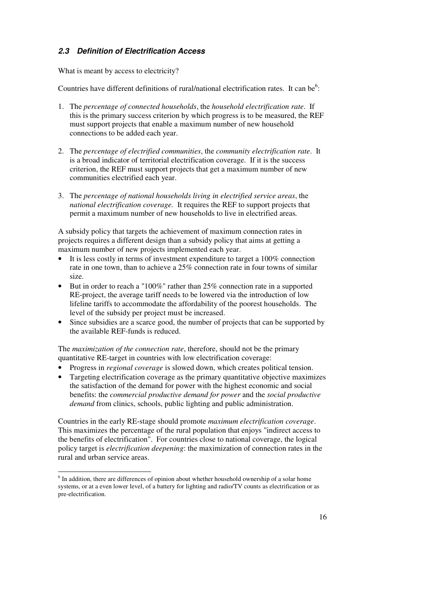# **2.3 Definition of Electrification Access**

What is meant by access to electricity?

Countries have different definitions of rural/national electrification rates. It can be<sup>6</sup>:

- 1. The *percentage of connected households*, the *household electrification rate*. If this is the primary success criterion by which progress is to be measured, the REF must support projects that enable a maximum number of new household connections to be added each year.
- 2. The *percentage of electrified communities*, the *community electrification rate*. It is a broad indicator of territorial electrification coverage. If it is the success criterion, the REF must support projects that get a maximum number of new communities electrified each year.
- 3. The *percentage of national households living in electrified service areas*, the *national electrification coverage.* It requires the REF to support projects that permit a maximum number of new households to live in electrified areas*.*

A subsidy policy that targets the achievement of maximum connection rates in projects requires a different design than a subsidy policy that aims at getting a maximum number of new projects implemented each year.

- It is less costly in terms of investment expenditure to target a 100% connection rate in one town, than to achieve a 25% connection rate in four towns of similar size.
- But in order to reach a "100%" rather than 25% connection rate in a supported RE-project, the average tariff needs to be lowered via the introduction of low lifeline tariffs to accommodate the affordability of the poorest households. The level of the subsidy per project must be increased.
- Since subsidies are a scarce good, the number of projects that can be supported by the available REF-funds is reduced.

The *maximization of the connection rate*, therefore, should not be the primary quantitative RE-target in countries with low electrification coverage:

- Progress in *regional coverage* is slowed down, which creates political tension.
- Targeting electrification coverage as the primary quantitative objective maximizes the satisfaction of the demand for power with the highest economic and social benefits: the *commercial productive demand for power* and the *social productive demand* from clinics, schools, public lighting and public administration.

Countries in the early RE-stage should promote *maximum electrification coverage*. This maximizes the percentage of the rural population that enjoys "indirect access to the benefits of electrification". For countries close to national coverage, the logical policy target is *electrification deepening*: the maximization of connection rates in the rural and urban service areas.

<sup>&</sup>lt;sup>6</sup> In addition, there are differences of opinion about whether household ownership of a solar home systems, or at a even lower level, of a battery for lighting and radio/TV counts as electrification or as pre-electrification.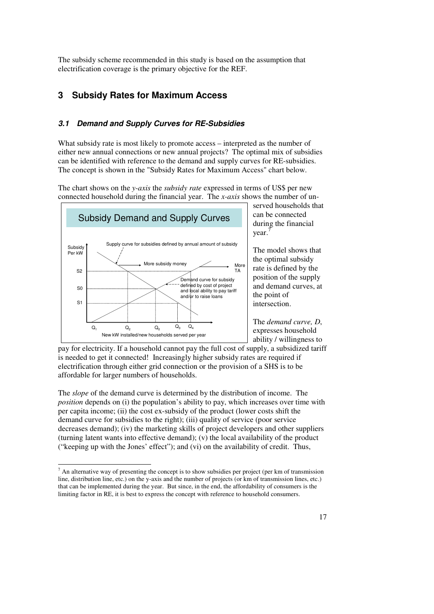The subsidy scheme recommended in this study is based on the assumption that electrification coverage is the primary objective for the REF.

# **3 Subsidy Rates for Maximum Access**

## **3.1 Demand and Supply Curves for RE-Subsidies**

What subsidy rate is most likely to promote access – interpreted as the number of either new annual connections or new annual projects? The optimal mix of subsidies can be identified with reference to the demand and supply curves for RE-subsidies. The concept is shown in the "Subsidy Rates for Maximum Access" chart below.

The chart shows on the *y-axis* the *subsidy rate* expressed in terms of US\$ per new connected household during the financial year. The *x-axis* shows the number of un-



served households that can be connected during the financial year. 7

The model shows that the optimal subsidy rate is defined by the position of the supply and demand curves, at the point of intersection.

The *demand curve, D*, expresses household ability / willingness to

pay for electricity. If a household cannot pay the full cost of supply, a subsidized tariff is needed to get it connected! Increasingly higher subsidy rates are required if electrification through either grid connection or the provision of a SHS is to be affordable for larger numbers of households.

The *slope* of the demand curve is determined by the distribution of income. The *position* depends on (i) the population's ability to pay, which increases over time with per capita income; (ii) the cost ex-subsidy of the product (lower costs shift the demand curve for subsidies to the right); (iii) quality of service (poor service decreases demand); (iv) the marketing skills of project developers and other suppliers (turning latent wants into effective demand); (v) the local availability of the product ("keeping up with the Jones' effect"); and (vi) on the availability of credit. Thus,

<sup>&</sup>lt;sup>7</sup> An alternative way of presenting the concept is to show subsidies per project (per km of transmission line, distribution line, etc.) on the y-axis and the number of projects (or km of transmission lines, etc.) that can be implemented during the year. But since, in the end, the affordability of consumers is the limiting factor in RE, it is best to express the concept with reference to household consumers.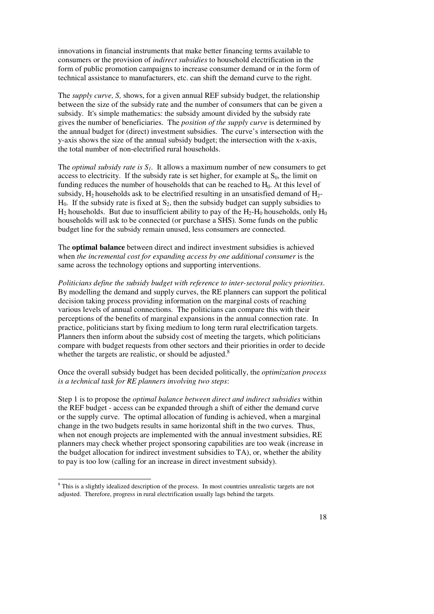innovations in financial instruments that make better financing terms available to consumers or the provision of *indirect subsidies* to household electrification in the form of public promotion campaigns to increase consumer demand or in the form of technical assistance to manufacturers, etc. can shift the demand curve to the right.

The *supply curve, S,* shows, for a given annual REF subsidy budget, the relationship between the size of the subsidy rate and the number of consumers that can be given a subsidy. It's simple mathematics: the subsidy amount divided by the subsidy rate gives the number of beneficiaries. The *position of the supply curve* is determined by the annual budget for (direct) investment subsidies. The curve's intersection with the y-axis shows the size of the annual subsidy budget; the intersection with the x-axis, the total number of non-electrified rural households.

The *optimal subsidy rate is*  $S<sub>1</sub>$ . It allows a maximum number of new consumers to get access to electricity. If the subsidy rate is set higher, for example at  $S_0$ , the limit on funding reduces the number of households that can be reached to  $H_0$ . At this level of subsidy,  $H_2$  households ask to be electrified resulting in an unsatisfied demand of  $H_2$ - $H<sub>0</sub>$ . If the subsidy rate is fixed at  $S<sub>2</sub>$ , then the subsidy budget can supply subsidies to  $H_2$  households. But due to insufficient ability to pay of the  $H_2$ - $H_0$  households, only  $H_0$ households will ask to be connected (or purchase a SHS). Some funds on the public budget line for the subsidy remain unused, less consumers are connected.

The **optimal balance** between direct and indirect investment subsidies is achieved when *the incremental cost for expanding access by one additional consumer* is the same across the technology options and supporting interventions.

*Politicians define the subsidy budget with reference to inter-sectoral policy priorities*. By modelling the demand and supply curves, the RE planners can support the political decision taking process providing information on the marginal costs of reaching various levels of annual connections. The politicians can compare this with their perceptions of the benefits of marginal expansions in the annual connection rate. In practice, politicians start by fixing medium to long term rural electrification targets. Planners then inform about the subsidy cost of meeting the targets, which politicians compare with budget requests from other sectors and their priorities in order to decide whether the targets are realistic, or should be adjusted. $8$ 

Once the overall subsidy budget has been decided politically, the *optimization process is a technical task for RE planners involving two steps*:

Step 1 is to propose the *optimal balance between direct and indirect subsidies* within the REF budget - access can be expanded through a shift of either the demand curve or the supply curve. The optimal allocation of funding is achieved, when a marginal change in the two budgets results in same horizontal shift in the two curves. Thus, when not enough projects are implemented with the annual investment subsidies, RE planners may check whether project sponsoring capabilities are too weak (increase in the budget allocation for indirect investment subsidies to TA), or, whether the ability to pay is too low (calling for an increase in direct investment subsidy).

<sup>&</sup>lt;sup>8</sup> This is a slightly idealized description of the process. In most countries unrealistic targets are not adjusted. Therefore, progress in rural electrification usually lags behind the targets.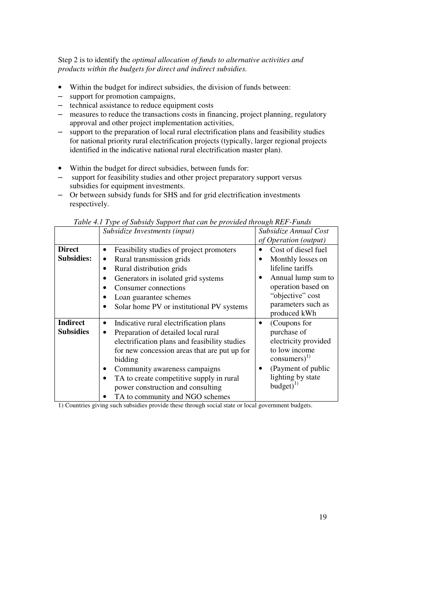Step 2 is to identify the *optimal allocation of funds to alternative activities and products within the budgets for direct and indirect subsidies.* 

- Within the budget for indirect subsidies, the division of funds between:
- support for promotion campaigns,
- technical assistance to reduce equipment costs
- measures to reduce the transactions costs in financing, project planning, regulatory approval and other project implementation activities,
- support to the preparation of local rural electrification plans and feasibility studies for national priority rural electrification projects (typically, larger regional projects identified in the indicative national rural electrification master plan).
- Within the budget for direct subsidies, between funds for:
- support for feasibility studies and other project preparatory support versus subsidies for equipment investments.
- Or between subsidy funds for SHS and for grid electrification investments respectively.

|                                     | Subsidize Investments (input)                                                                                                                                                                                                                                                                                                                                            | Subsidize Annual Cost<br>of Operation (output)                                                                                                                     |
|-------------------------------------|--------------------------------------------------------------------------------------------------------------------------------------------------------------------------------------------------------------------------------------------------------------------------------------------------------------------------------------------------------------------------|--------------------------------------------------------------------------------------------------------------------------------------------------------------------|
| <b>Direct</b><br><b>Subsidies:</b>  | Feasibility studies of project promoters<br>٠<br>Rural transmission grids<br>$\bullet$<br>Rural distribution grids<br>٠<br>Generators in isolated grid systems<br>Consumer connections<br>Loan guarantee schemes<br>Solar home PV or institutional PV systems                                                                                                            | Cost of diesel fuel<br>Monthly losses on<br>lifeline tariffs<br>Annual lump sum to<br>operation based on<br>"objective" cost<br>parameters such as<br>produced kWh |
| <b>Indirect</b><br><b>Subsidies</b> | Indicative rural electrification plans<br>$\bullet$<br>Preparation of detailed local rural<br>$\bullet$<br>electrification plans and feasibility studies<br>for new concession areas that are put up for<br>bidding<br>Community awareness campaigns<br>TA to create competitive supply in rural<br>power construction and consulting<br>TA to community and NGO schemes | (Coupons for<br>purchase of<br>electricity provided<br>to low income<br>$\text{consumers}^{(1)}$<br>(Payment of public<br>lighting by state<br>budget $)^{1)}$     |

*Table 4.1 Type of Subsidy Support that can be provided through REF-Funds* 

1) Countries giving such subsidies provide these through social state or local government budgets.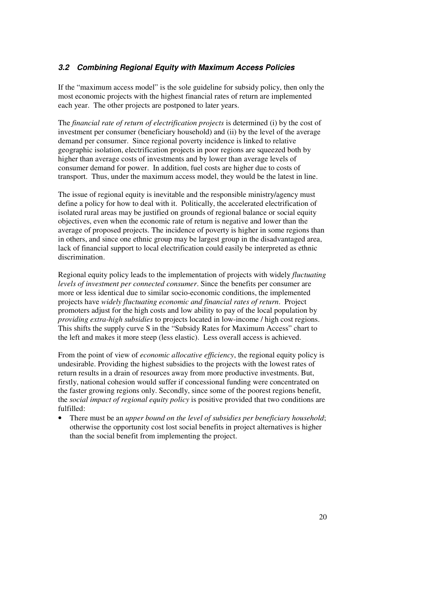#### **3.2 Combining Regional Equity with Maximum Access Policies**

If the "maximum access model" is the sole guideline for subsidy policy, then only the most economic projects with the highest financial rates of return are implemented each year. The other projects are postponed to later years.

The *financial rate of return of electrification projects* is determined (i) by the cost of investment per consumer (beneficiary household) and (ii) by the level of the average demand per consumer. Since regional poverty incidence is linked to relative geographic isolation, electrification projects in poor regions are squeezed both by higher than average costs of investments and by lower than average levels of consumer demand for power. In addition, fuel costs are higher due to costs of transport. Thus, under the maximum access model, they would be the latest in line.

The issue of regional equity is inevitable and the responsible ministry/agency must define a policy for how to deal with it. Politically, the accelerated electrification of isolated rural areas may be justified on grounds of regional balance or social equity objectives, even when the economic rate of return is negative and lower than the average of proposed projects. The incidence of poverty is higher in some regions than in others, and since one ethnic group may be largest group in the disadvantaged area, lack of financial support to local electrification could easily be interpreted as ethnic discrimination.

Regional equity policy leads to the implementation of projects with widely *fluctuating levels of investment per connected consumer*. Since the benefits per consumer are more or less identical due to similar socio-economic conditions, the implemented projects have *widely fluctuating economic and financial rates of return*. Project promoters adjust for the high costs and low ability to pay of the local population by *providing extra-high subsidies* to projects located in low-income / high cost regions. This shifts the supply curve S in the "Subsidy Rates for Maximum Access" chart to the left and makes it more steep (less elastic). Less overall access is achieved.

From the point of view of *economic allocative efficiency*, the regional equity policy is undesirable. Providing the highest subsidies to the projects with the lowest rates of return results in a drain of resources away from more productive investments. But, firstly, national cohesion would suffer if concessional funding were concentrated on the faster growing regions only. Secondly, since some of the poorest regions benefit, the *social impact of regional equity policy* is positive provided that two conditions are fulfilled:

• There must be an *upper bound on the level of subsidies per beneficiary household*; otherwise the opportunity cost lost social benefits in project alternatives is higher than the social benefit from implementing the project.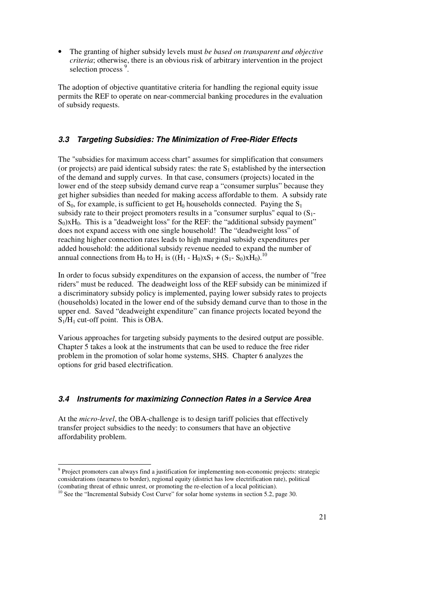• The granting of higher subsidy levels must *be based on transparent and objective criteria*; otherwise, there is an obvious risk of arbitrary intervention in the project selection process<sup>9</sup>.

The adoption of objective quantitative criteria for handling the regional equity issue permits the REF to operate on near-commercial banking procedures in the evaluation of subsidy requests.

#### **3.3 Targeting Subsidies: The Minimization of Free-Rider Effects**

The "subsidies for maximum access chart" assumes for simplification that consumers (or projects) are paid identical subsidy rates: the rate  $S_1$  established by the intersection of the demand and supply curves. In that case, consumers (projects) located in the lower end of the steep subsidy demand curve reap a "consumer surplus" because they get higher subsidies than needed for making access affordable to them. A subsidy rate of  $S_0$ , for example, is sufficient to get  $H_0$  households connected. Paying the  $S_1$ subsidy rate to their project promoters results in a "consumer surplus" equal to  $(S_1$ - $S_0$ )xH<sub>0</sub>. This is a "deadweight loss" for the REF: the "additional subsidy payment" does not expand access with one single household! The "deadweight loss" of reaching higher connection rates leads to high marginal subsidy expenditures per added household: the additional subsidy revenue needed to expand the number of annual connections from H<sub>0</sub> to H<sub>1</sub> is  $((\dot{H}_1 - H_0)xS_1 + (S_1 - S_0)x\dot{H}_0)^{10}$ .

In order to focus subsidy expenditures on the expansion of access, the number of "free riders" must be reduced. The deadweight loss of the REF subsidy can be minimized if a discriminatory subsidy policy is implemented, paying lower subsidy rates to projects (households) located in the lower end of the subsidy demand curve than to those in the upper end. Saved "deadweight expenditure" can finance projects located beyond the  $S_1/H_1$  cut-off point. This is OBA.

Various approaches for targeting subsidy payments to the desired output are possible. Chapter 5 takes a look at the instruments that can be used to reduce the free rider problem in the promotion of solar home systems, SHS. Chapter 6 analyzes the options for grid based electrification.

# **3.4 Instruments for maximizing Connection Rates in a Service Area**

At the *micro-level*, the OBA-challenge is to design tariff policies that effectively transfer project subsidies to the needy: to consumers that have an objective affordability problem.

 9 Project promoters can always find a justification for implementing non-economic projects: strategic considerations (nearness to border), regional equity (district has low electrification rate), political (combating threat of ethnic unrest, or promoting the re-election of a local politician).

<sup>&</sup>lt;sup>10</sup> See the "Incremental Subsidy Cost Curve" for solar home systems in section 5.2, page 30.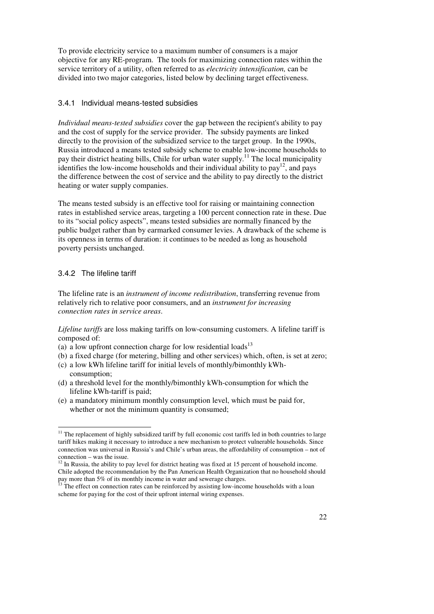To provide electricity service to a maximum number of consumers is a major objective for any RE-program. The tools for maximizing connection rates within the service territory of a utility, often referred to as *electricity intensification,* can be divided into two major categories, listed below by declining target effectiveness.

#### 3.4.1 Individual means-tested subsidies

*Individual means-tested subsidies* cover the gap between the recipient's ability to pay and the cost of supply for the service provider. The subsidy payments are linked directly to the provision of the subsidized service to the target group. In the 1990s, Russia introduced a means tested subsidy scheme to enable low-income households to pay their district heating bills, Chile for urban water supply.<sup>11</sup> The local municipality identifies the low-income households and their individual ability to  $pay<sup>12</sup>$ , and pays the difference between the cost of service and the ability to pay directly to the district heating or water supply companies.

The means tested subsidy is an effective tool for raising or maintaining connection rates in established service areas, targeting a 100 percent connection rate in these. Due to its "social policy aspects", means tested subsidies are normally financed by the public budget rather than by earmarked consumer levies. A drawback of the scheme is its openness in terms of duration: it continues to be needed as long as household poverty persists unchanged.

#### 3.4.2 The lifeline tariff

 $\overline{a}$ 

The lifeline rate is an *instrument of income redistribution*, transferring revenue from relatively rich to relative poor consumers, and an *instrument for increasing connection rates in service areas*.

*Lifeline tariffs* are loss making tariffs on low-consuming customers. A lifeline tariff is composed of:

- (a) a low upfront connection charge for low residential loads $13$
- (b) a fixed charge (for metering, billing and other services) which, often, is set at zero;
- (c) a low kWh lifeline tariff for initial levels of monthly/bimonthly kWhconsumption;
- (d) a threshold level for the monthly/bimonthly kWh-consumption for which the lifeline kWh-tariff is paid;
- (e) a mandatory minimum monthly consumption level, which must be paid for, whether or not the minimum quantity is consumed;

<sup>&</sup>lt;sup>11</sup> The replacement of highly subsidized tariff by full economic cost tariffs led in both countries to large tariff hikes making it necessary to introduce a new mechanism to protect vulnerable households. Since connection was universal in Russia's and Chile's urban areas, the affordability of consumption – not of connection – was the issue.

 $12$  In Russia, the ability to pay level for district heating was fixed at 15 percent of household income. Chile adopted the recommendation by the Pan American Health Organization that no household should pay more than 5% of its monthly income in water and sewerage charges.

<sup>&</sup>lt;sup>13</sup> The effect on connection rates can be reinforced by assisting low-income households with a loan scheme for paying for the cost of their upfront internal wiring expenses.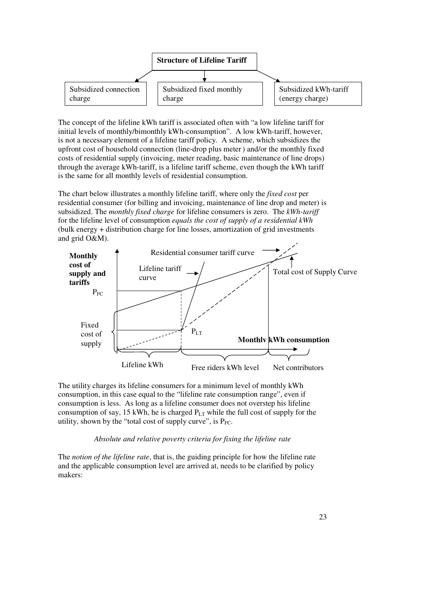

The concept of the lifeline kWh tariff is associated often with "a low lifeline tariff for initial levels of monthly/bimonthly kWh-consumption". A low kWh-tariff, however, is not a necessary element of a lifeline tariff policy. A scheme, which subsidizes the upfront cost of household connection (line-drop plus meter) and/or the monthly fixed costs of residential supply (invoicing, meter reading, basic maintenance of line drops) through the average kWh-tariff, is a lifeline tariff scheme, even though the kWh tariff is the same for all monthly levels of residential consumption.

The chart below illustrates a monthly lifeline tariff, where only the *fixed cost* per residential consumer (for billing and invoicing, maintenance of line drop and meter) is subsidized. The *monthly fixed charge* for lifeline consumers is zero. The *kWh-tariff*  for the lifeline level of consumption *equals the cost of supply of a residential kWh*  (bulk energy + distribution charge for line losses, amortization of grid investments and grid O&M).



The utility charges its lifeline consumers for a minimum level of monthly kWh consumption, in this case equal to the "lifeline rate consumption range", even if consumption is less. As long as a lifeline consumer does not overstep his lifeline consumption of say, 15 kWh, he is charged  $P_{LT}$  while the full cost of supply for the utility, shown by the "total cost of supply curve", is  $P_{FC}$ .

#### *Absolute and relative poverty criteria for fixing the lifeline rate*

The *notion of the lifeline rate*, that is, the guiding principle for how the lifeline rate and the applicable consumption level are arrived at, needs to be clarified by policy makers: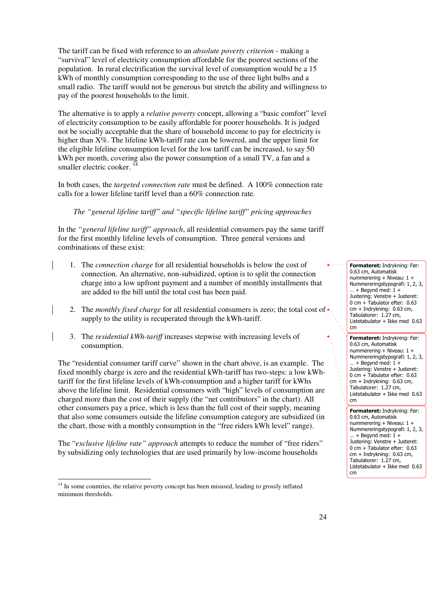The tariff can be fixed with reference to an *absolute poverty criterion* - making a "survival" level of electricity consumption affordable for the poorest sections of the population. In rural electrification the survival level of consumption would be a 15 kWh of monthly consumption corresponding to the use of three light bulbs and a small radio. The tariff would not be generous but stretch the ability and willingness to pay of the poorest households to the limit.

The alternative is to apply a *relative poverty* concept, allowing a "basic comfort" level of electricity consumption to be easily affordable for poorer households. It is judged not be socially acceptable that the share of household income to pay for electricity is higher than  $X\%$ . The lifeline kWh-tariff rate can be lowered, and the upper limit for the eligible lifeline consumption level for the low tariff can be increased, to say 50 kWh per month, covering also the power consumption of a small TV, a fan and a smaller electric cooker.<sup>14</sup>

In both cases, the *targeted connection rate* must be defined. A 100% connection rate calls for a lower lifeline tariff level than a 60% connection rate.

#### *The "general lifeline tariff" and "specific lifeline tariff" pricing approaches*

In the *"general lifeline tariff" approach*, all residential consumers pay the same tariff for the first monthly lifeline levels of consumption. Three general versions and combinations of these exist:

- 1. The *connection charge* for all residential households is below the cost of connection. An alternative, non-subsidized, option is to split the connection charge into a low upfront payment and a number of monthly installments that are added to the bill until the total cost has been paid.
- 2. The *monthly fixed charge* for all residential consumers is zero; the total cost of  $\triangleleft$ supply to the utility is recuperated through the kWh-tariff.
- 3. The *residential kWh-tariff* increases stepwise with increasing levels of consumption.

The "residential consumer tariff curve" shown in the chart above, is an example. The fixed monthly charge is zero and the residential kWh-tariff has two-steps: a low kWhtariff for the first lifeline levels of kWh-consumption and a higher tariff for kWhs above the lifeline limit. Residential consumers with "high" levels of consumption are charged more than the cost of their supply (the "net contributors" in the chart). All other consumers pay a price, which is less than the full cost of their supply, meaning that also some consumers outside the lifeline consumption category are subsidized (in the chart, those with a monthly consumption in the "free riders kWh level" range).

The "*exclusive lifeline rate" approach* attempts to reduce the number of "free riders" by subsidizing only technologies that are used primarily by low-income households

 $\overline{a}$ 

Formateret: Indrykning: Før: 0.63 cm, Automatisk nummerering + Niveau: 1 + Nummereringstypografi: 1, 2, 3,  $...$  + Begynd med:  $1 +$ Justering: Venstre + Justeret: 0 cm + Tabulator efter: 0.63 cm + Indrykning: 0.63 cm, Tabulatorer: 1.27 cm, Listetabulator + Ikke med 0.63 cm

Formateret: Indrykning: Før: 0.63 cm, Automatisk nummerering + Niveau: 1 + Nummereringstypografi: 1, 2, 3,  $...$  + Begynd med:  $1 +$ Justering: Venstre + Justeret: 0 cm + Tabulator efter: 0.63 cm + Indrykning: 0.63 cm, Tabulatorer: 1.27 cm, Listetabulator + Ikke med 0.63 cm

Formateret: Indrykning: Før: 0.63 cm, Automatisk nummerering + Niveau: 1 + Nummereringstypografi: 1, 2, 3,  $...$  + Begynd med:  $1 +$ Justering: Venstre + Justeret: 0 cm + Tabulator efter: 0.63 cm + Indrykning: 0.63 cm, Tabulatorer: 1.27 cm, Listetabulator + Ikke med 0.63 cm

<sup>&</sup>lt;sup>14</sup> In some countries, the relative poverty concept has been misused, leading to grossly inflated minimum thresholds.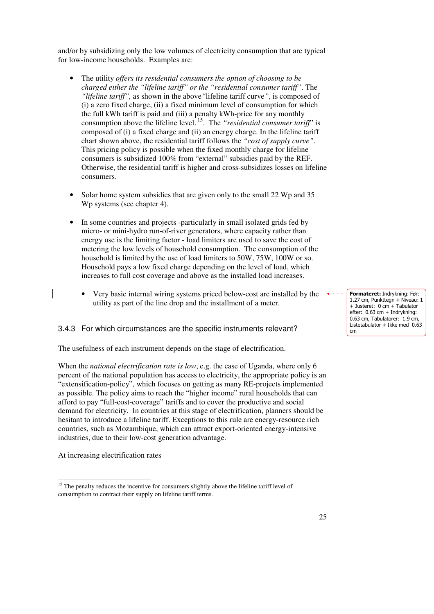and/or by subsidizing only the low volumes of electricity consumption that are typical for low-income households. Examples are:

- The utility *offers its residential consumers the option of choosing to be charged either the "lifeline tariff" or the "residential consumer tariff"*. The *"lifeline tariff",* as shown in the above*"*lifeline tariff curve*"*, is composed of (i) a zero fixed charge, (ii) a fixed minimum level of consumption for which the full kWh tariff is paid and (iii) a penalty kWh-price for any monthly consumption above the lifeline level.<sup>15</sup>. The *"residential consumer tariff*" is composed of (i) a fixed charge and (ii) an energy charge. In the lifeline tariff chart shown above, the residential tariff follows the *"cost of supply curve"*. This pricing policy is possible when the fixed monthly charge for lifeline consumers is subsidized 100% from "external" subsidies paid by the REF. Otherwise, the residential tariff is higher and cross-subsidizes losses on lifeline consumers.
- Solar home system subsidies that are given only to the small 22 Wp and 35 Wp systems (see chapter 4).
- In some countries and projects -particularly in small isolated grids fed by micro- or mini-hydro run-of-river generators, where capacity rather than energy use is the limiting factor - load limiters are used to save the cost of metering the low levels of household consumption. The consumption of the household is limited by the use of load limiters to 50W, 75W, 100W or so. Household pays a low fixed charge depending on the level of load, which increases to full cost coverage and above as the installed load increases.
	- Very basic internal wiring systems priced below-cost are installed by the utility as part of the line drop and the installment of a meter.

#### 3.4.3 For which circumstances are the specific instruments relevant?

The usefulness of each instrument depends on the stage of electrification.

When the *national electrification rate is low*, e.g. the case of Uganda, where only 6 percent of the national population has access to electricity, the appropriate policy is an "extensification-policy", which focuses on getting as many RE-projects implemented as possible. The policy aims to reach the "higher income" rural households that can afford to pay "full-cost-coverage" tariffs and to cover the productive and social demand for electricity. In countries at this stage of electrification, planners should be hesitant to introduce a lifeline tariff. Exceptions to this rule are energy-resource rich countries, such as Mozambique, which can attract export-oriented energy-intensive industries, due to their low-cost generation advantage.

At increasing electrification rates

Formateret: Indrykning: Før: 1.27 cm, Punkttegn + Niveau: 1 + Justeret: 0 cm + Tabulator efter: 0.63 cm + Indrykning: 0.63 cm, Tabulatorer: 1.9 cm, Listetabulator + Ikke med 0.63 cm

 $\overline{a}$ <sup>15</sup> The penalty reduces the incentive for consumers slightly above the lifeline tariff level of consumption to contract their supply on lifeline tariff terms.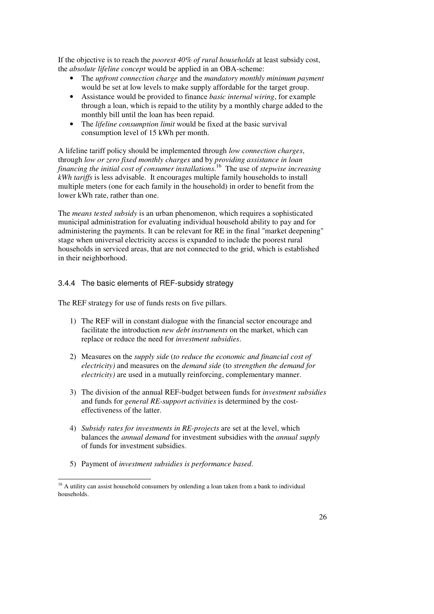If the objective is to reach the *poorest 40% of rural households* at least subsidy cost, the *absolute lifeline concept* would be applied in an OBA-scheme:

- The *upfront connection charge* and the *mandatory monthly minimum payment* would be set at low levels to make supply affordable for the target group.
- Assistance would be provided to finance *basic internal wiring*, for example through a loan, which is repaid to the utility by a monthly charge added to the monthly bill until the loan has been repaid.
- The *lifeline consumption limit* would be fixed at the basic survival consumption level of 15 kWh per month.

A lifeline tariff policy should be implemented through *low connection charges*, through *low or zero fixed monthly charges* and by *providing assistance in loan financing the initial cost of consumer installations*. <sup>16</sup> The use of *stepwise increasing kWh tariffs* is less advisable. It encourages multiple family households to install multiple meters (one for each family in the household) in order to benefit from the lower kWh rate, rather than one.

The *means tested subsidy* is an urban phenomenon, which requires a sophisticated municipal administration for evaluating individual household ability to pay and for administering the payments. It can be relevant for RE in the final "market deepening" stage when universal electricity access is expanded to include the poorest rural households in serviced areas, that are not connected to the grid, which is established in their neighborhood.

# 3.4.4 The basic elements of REF-subsidy strategy

The REF strategy for use of funds rests on five pillars.

- 1) The REF will in constant dialogue with the financial sector encourage and facilitate the introduction *new debt instruments* on the market, which can replace or reduce the need for *investment subsidies*.
- 2) Measures on the *supply side* (*to reduce the economic and financial cost of electricity)* and measures on the *demand side* (to *strengthen the demand for electricity)* are used in a mutually reinforcing, complementary manner.
- 3) The division of the annual REF-budget between funds for *investment subsidies* and funds for *general RE-support activities* is determined by the costeffectiveness of the latter.
- 4) *Subsidy rates for investments in RE-projects* are set at the level, which balances the *annual demand* for investment subsidies with the *annual supply* of funds for investment subsidies.
- 5) Payment of *investment subsidies is performance based*.

 $\overline{a}$ 

<sup>&</sup>lt;sup>16</sup> A utility can assist household consumers by onlending a loan taken from a bank to individual households.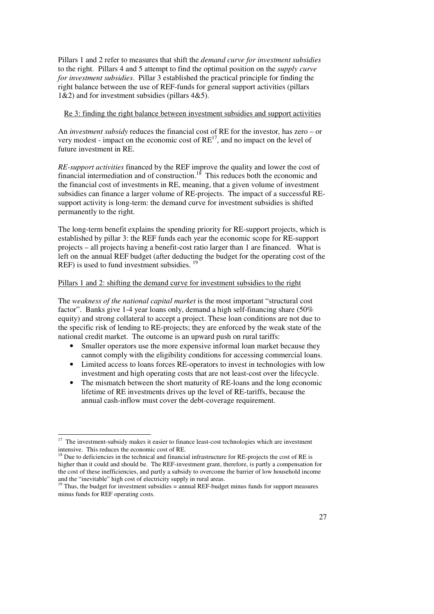Pillars 1 and 2 refer to measures that shift the *demand curve for investment subsidies* to the right. Pillars 4 and 5 attempt to find the optimal position on the *supply curve for investment subsidies*. Pillar 3 established the practical principle for finding the right balance between the use of REF-funds for general support activities (pillars 1&2) and for investment subsidies (pillars 4&5).

#### Re 3: finding the right balance between investment subsidies and support activities

An *investment subsidy* reduces the financial cost of RE for the investor*,* has zero – or very modest - impact on the economic cost of  $RE<sup>17</sup>$ , and no impact on the level of future investment in RE.

*RE-support activities* financed by the REF improve the quality and lower the cost of financial intermediation and of construction.<sup>18</sup> This reduces both the economic and the financial cost of investments in RE, meaning, that a given volume of investment subsidies can finance a larger volume of RE-projects. The impact of a successful REsupport activity is long-term: the demand curve for investment subsidies is shifted permanently to the right.

The long-term benefit explains the spending priority for RE-support projects, which is established by pillar 3: the REF funds each year the economic scope for RE-support projects – all projects having a benefit-cost ratio larger than 1 are financed. What is left on the annual REF budget (after deducting the budget for the operating cost of the REF) is used to fund investment subsidies.<sup>19</sup>

## Pillars 1 and 2: shifting the demand curve for investment subsidies to the right

The *weakness of the national capital market* is the most important "structural cost factor". Banks give 1-4 year loans only, demand a high self-financing share (50% equity) and strong collateral to accept a project. These loan conditions are not due to the specific risk of lending to RE-projects; they are enforced by the weak state of the national credit market. The outcome is an upward push on rural tariffs:

- Smaller operators use the more expensive informal loan market because they cannot comply with the eligibility conditions for accessing commercial loans.
- Limited access to loans forces RE-operators to invest in technologies with low investment and high operating costs that are not least-cost over the lifecycle.
- The mismatch between the short maturity of RE-loans and the long economic lifetime of RE investments drives up the level of RE-tariffs, because the annual cash-inflow must cover the debt-coverage requirement.

 $\overline{a}$ <sup>17</sup> The investment-subsidy makes it easier to finance least-cost technologies which are investment intensive. This reduces the economic cost of RE.

<sup>&</sup>lt;sup>18</sup> Due to deficiencies in the technical and financial infrastructure for RE-projects the cost of RE is higher than it could and should be. The REF-investment grant, therefore, is partly a compensation for the cost of these inefficiencies, and partly a subsidy to overcome the barrier of low household income and the "inevitable" high cost of electricity supply in rural areas.

 $19$  Thus, the budget for investment subsidies = annual REF-budget minus funds for support measures minus funds for REF operating costs.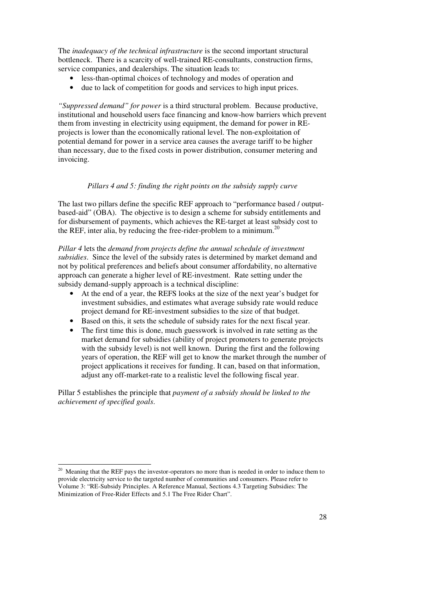The *inadequacy of the technical infrastructure* is the second important structural bottleneck. There is a scarcity of well-trained RE-consultants, construction firms, service companies, and dealerships. The situation leads to:

- less-than-optimal choices of technology and modes of operation and
- due to lack of competition for goods and services to high input prices.

*"Suppressed demand" for power* is a third structural problem. Because productive, institutional and household users face financing and know-how barriers which prevent them from investing in electricity using equipment, the demand for power in REprojects is lower than the economically rational level. The non-exploitation of potential demand for power in a service area causes the average tariff to be higher than necessary, due to the fixed costs in power distribution, consumer metering and invoicing.

#### *Pillars 4 and 5: finding the right points on the subsidy supply curve*

The last two pillars define the specific REF approach to "performance based / outputbased-aid" (OBA). The objective is to design a scheme for subsidy entitlements and for disbursement of payments, which achieves the RE-target at least subsidy cost to the REF, inter alia, by reducing the free-rider-problem to a minimum.<sup>20</sup>

*Pillar 4* lets the *demand from projects define the annual schedule of investment subsidies*. Since the level of the subsidy rates is determined by market demand and not by political preferences and beliefs about consumer affordability, no alternative approach can generate a higher level of RE-investment. Rate setting under the subsidy demand-supply approach is a technical discipline:

- At the end of a year, the REFS looks at the size of the next year's budget for investment subsidies, and estimates what average subsidy rate would reduce project demand for RE-investment subsidies to the size of that budget.
- Based on this, it sets the schedule of subsidy rates for the next fiscal year.
- The first time this is done, much guesswork is involved in rate setting as the market demand for subsidies (ability of project promoters to generate projects with the subsidy level) is not well known. During the first and the following years of operation, the REF will get to know the market through the number of project applications it receives for funding. It can, based on that information, adjust any off-market-rate to a realistic level the following fiscal year.

Pillar 5 establishes the principle that *payment of a subsidy should be linked to the achievement of specified goals*.

 $\ddot{ }$ 

Meaning that the REF pays the investor-operators no more than is needed in order to induce them to provide electricity service to the targeted number of communities and consumers. Please refer to Volume 3: "RE-Subsidy Principles. A Reference Manual, Sections 4.3 Targeting Subsidies: The Minimization of Free-Rider Effects and 5.1 The Free Rider Chart".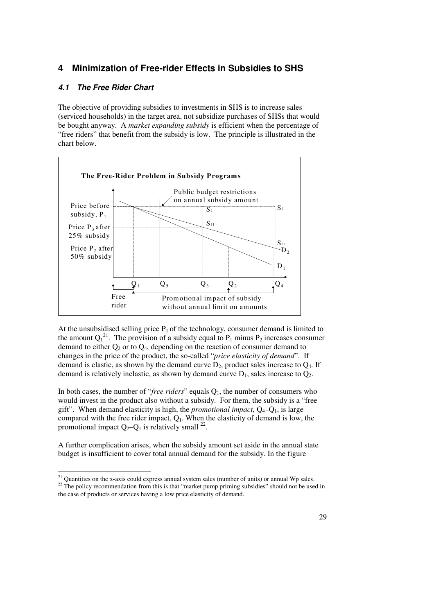# **4 Minimization of Free-rider Effects in Subsidies to SHS**

# **4.1 The Free Rider Chart**

The objective of providing subsidies to investments in SHS is to increase sales (serviced households) in the target area, not subsidize purchases of SHSs that would be bought anyway. A *market expanding subsidy* is efficient when the percentage of "free riders" that benefit from the subsidy is low. The principle is illustrated in the chart below.



At the unsubsidised selling price  $P_1$  of the technology, consumer demand is limited to the amount  $Q_1^{21}$ . The provision of a subsidy equal to  $P_1$  minus  $P_2$  increases consumer demand to either  $Q_2$  or to  $Q_4$ , depending on the reaction of consumer demand to changes in the price of the product, the so-called "*price elasticity of demand*". If demand is elastic, as shown by the demand curve  $D_2$ , product sales increase to  $Q_4$ . If demand is relatively inelastic, as shown by demand curve  $D_1$ , sales increase to  $Q_2$ .

In both cases, the number of "*free riders*" equals  $Q_1$ , the number of consumers who would invest in the product also without a subsidy. For them, the subsidy is a "free gift". When demand elasticity is high, the *promotional impact*,  $Q_4 - Q_1$ , is large compared with the free rider impact,  $Q<sub>1</sub>$ . When the elasticity of demand is low, the promotional impact  $Q_2-Q_1$  is relatively small <sup>22</sup>.

A further complication arises, when the subsidy amount set aside in the annual state budget is insufficient to cover total annual demand for the subsidy. In the figure

 $\overline{a}$  $21$  Quantities on the x-axis could express annual system sales (number of units) or annual Wp sales.

<sup>&</sup>lt;sup>22</sup> The policy recommendation from this is that "market pump priming subsidies" should not be used in the case of products or services having a low price elasticity of demand.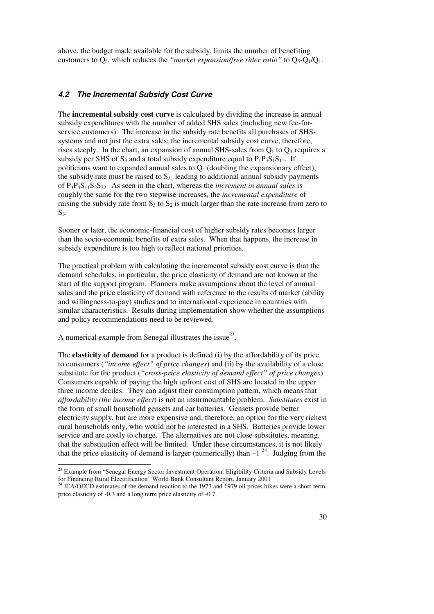above, the budget made available for the subsidy, limits the number of benefiting customers to Q5, which reduces the *"market expansion/free rider ratio"* to Q5-Q1/Q1.

#### **4.2 The Incremental Subsidy Cost Curve**

The **incremental subsidy cost curve** is calculated by dividing the increase in annual subsidy expenditures with the number of added SHS sales (including new fee-forservice customers). The increase in the subsidy rate benefits all purchases of SHSsystems and not just the extra sales; the incremental subsidy cost curve, therefore, rises steeply. In the chart, an expansion of annual SHS-sales from  $Q_1$  to  $Q_3$  requires a subsidy per SHS of  $S_3$  and a total subsidy expenditure equal to  $P_1P_3S_1S_{11}$ . If politicians want to expanded annual sales to  $Q_4$  (doubling the expansionary effect), the subsidy rate must be raised to  $S_2$ , leading to additional annual subsidy payments of  $P_3P_4S_{11}S_2S_{22}$ . As seen in the chart, whereas the *increment in annual sales* is roughly the same for the two stepwise increases, the *incremental expenditure* of raising the subsidy rate from  $S_3$  to  $S_2$  is much larger than the rate increase from zero to  $S<sub>3</sub>$ .

Sooner or later, the economic-financial cost of higher subsidy rates becomes larger than the socio-economic benefits of extra sales. When that happens, the increase in subsidy expenditure is too high to reflect national priorities.

The practical problem with calculating the incremental subsidy cost curve is that the demand schedules, in particular, the price elasticity of demand are not known at the start of the support program. Planners make assumptions about the level of annual sales and the price elasticity of demand with reference to the results of market (ability and willingness-to-pay) studies and to international experience in countries with similar characteristics. Results during implementation show whether the assumptions and policy recommendations need to be reviewed.

A numerical example from Senegal illustrates the issue $^{23}$ .

 $\ddot{ }$ 

The **elasticity of demand** for a product is defined (i) by the affordability of its price to consumers (*"income effect" of price changes*) and (ii) by the availability of a close substitute for the product (*"cross-price elasticity of demand effect" of price changes*). Consumers capable of paying the high upfront cost of SHS are located in the upper three income deciles. They can adjust their consumption pattern, which means that *affordability (the income effect*) is not an insurmountable problem. *Substitutes* exist in the form of small household gensets and car batteries. Gensets provide better electricity supply, but are more expensive and, therefore, an option for the very richest rural households only, who would not be interested in a SHS. Batteries provide lower service and are costly to charge. The alternatives are not close substitutes, meaning, that the substitution effect will be limited. Under these circumstances, it is not likely that the price elasticity of demand is larger (numerically) than  $-1^{24}$ . Judging from the

<sup>&</sup>lt;sup>23</sup> Example from "Senegal Energy Sector Investment Operation: Eligibility Criteria and Subsidy Levels for Financing Rural Electrification" World Bank Consultant Report, January 2001

 $^{24}$  IEA/OECD estimates of the demand reaction to the 1973 and 1979 oil prices hikes were a short-term price elasticity of -0.3 and a long term price elasticity of -0.7.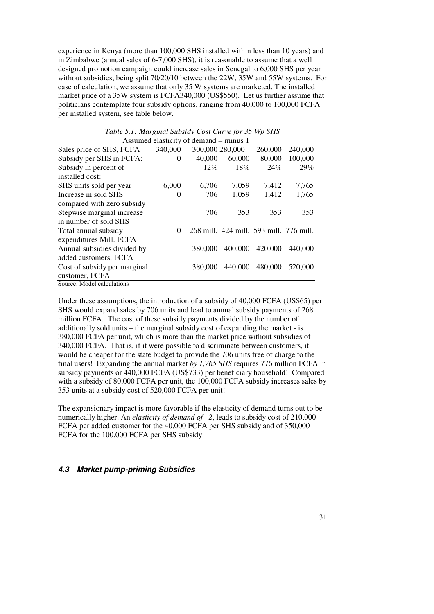experience in Kenya (more than 100,000 SHS installed within less than 10 years) and in Zimbabwe (annual sales of 6-7,000 SHS), it is reasonable to assume that a well designed promotion campaign could increase sales in Senegal to 6,000 SHS per year without subsidies, being split 70/20/10 between the 22W, 35W and 55W systems. For ease of calculation, we assume that only 35 W systems are marketed. The installed market price of a 35W system is FCFA340,000 (US\$550). Let us further assume that politicians contemplate four subsidy options, ranging from 40,000 to 100,000 FCFA per installed system, see table below.

| Assumed elasticity of demand = minus 1 |         |                 |         |                               |         |  |  |
|----------------------------------------|---------|-----------------|---------|-------------------------------|---------|--|--|
| Sales price of SHS, FCFA               | 340,000 | 300,000 280,000 |         | 260,000                       | 240,000 |  |  |
| Subsidy per SHS in FCFA:               |         | 40,000          | 60,000  | 80,000                        | 100,000 |  |  |
| Subsidy in percent of                  |         | $12\%$          | 18%     | 24%                           | 29%     |  |  |
| installed cost:                        |         |                 |         |                               |         |  |  |
| SHS units sold per year                | 6,000   | 6,706           | 7,059   | 7,412                         | 7,765   |  |  |
| Increase in sold SHS                   |         | 706             | 1,059   | 1,412                         | 1,765   |  |  |
| compared with zero subsidy             |         |                 |         |                               |         |  |  |
| Stepwise marginal increase             |         | 706             | 353     | 353                           | 353     |  |  |
| in number of sold SHS                  |         |                 |         |                               |         |  |  |
| Total annual subsidy                   | ∩       | $268$ mill.     |         | 424 mill. 593 mill. 776 mill. |         |  |  |
| expenditures Mill. FCFA                |         |                 |         |                               |         |  |  |
| Annual subsidies divided by            |         | 380,000         | 400,000 | 420,000                       | 440,000 |  |  |
| added customers, FCFA                  |         |                 |         |                               |         |  |  |
| Cost of subsidy per marginal           |         | 380,000         | 440,000 | 480,000                       | 520,000 |  |  |
| customer, FCFA                         |         |                 |         |                               |         |  |  |

*Table 5.1: Marginal Subsidy Cost Curve for 35 Wp SHS* 

Source: Model calculations

Under these assumptions, the introduction of a subsidy of 40,000 FCFA (US\$65) per SHS would expand sales by 706 units and lead to annual subsidy payments of 268 million FCFA. The cost of these subsidy payments divided by the number of additionally sold units – the marginal subsidy cost of expanding the market - is 380,000 FCFA per unit, which is more than the market price without subsidies of 340,000 FCFA. That is, if it were possible to discriminate between customers, it would be cheaper for the state budget to provide the 706 units free of charge to the final users! Expanding the annual market *by 1,765 SHS* requires 776 million FCFA in subsidy payments or 440,000 FCFA (US\$733) per beneficiary household! Compared with a subsidy of 80,000 FCFA per unit, the 100,000 FCFA subsidy increases sales by 353 units at a subsidy cost of 520,000 FCFA per unit!

The expansionary impact is more favorable if the elasticity of demand turns out to be numerically higher. An *elasticity of demand of –2*, leads to subsidy cost of 210,000 FCFA per added customer for the 40,000 FCFA per SHS subsidy and of 350,000 FCFA for the 100,000 FCFA per SHS subsidy.

#### **4.3 Market pump-priming Subsidies**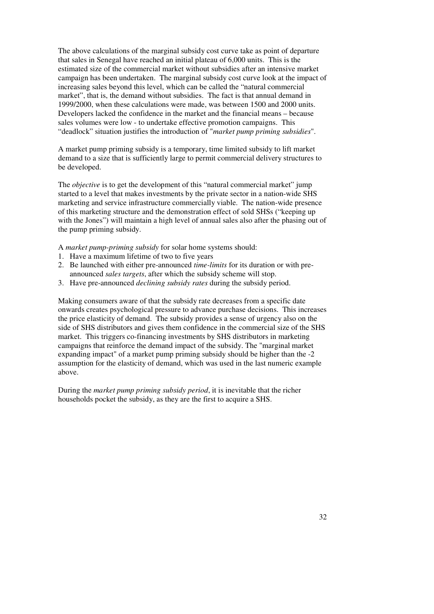The above calculations of the marginal subsidy cost curve take as point of departure that sales in Senegal have reached an initial plateau of 6,000 units. This is the estimated size of the commercial market without subsidies after an intensive market campaign has been undertaken. The marginal subsidy cost curve look at the impact of increasing sales beyond this level, which can be called the "natural commercial market", that is, the demand without subsidies. The fact is that annual demand in 1999/2000, when these calculations were made, was between 1500 and 2000 units. Developers lacked the confidence in the market and the financial means – because sales volumes were low - to undertake effective promotion campaigns. This "deadlock" situation justifies the introduction of "*market pump priming subsidies*".

A market pump priming subsidy is a temporary, time limited subsidy to lift market demand to a size that is sufficiently large to permit commercial delivery structures to be developed.

The *objective* is to get the development of this "natural commercial market" jump started to a level that makes investments by the private sector in a nation-wide SHS marketing and service infrastructure commercially viable. The nation-wide presence of this marketing structure and the demonstration effect of sold SHSs ("keeping up with the Jones") will maintain a high level of annual sales also after the phasing out of the pump priming subsidy.

A *market pump-priming subsidy* for solar home systems should:

- 1. Have a maximum lifetime of two to five years
- 2. Be launched with either pre-announced *time-limits* for its duration or with preannounced *sales targets*, after which the subsidy scheme will stop.
- 3. Have pre-announced *declining subsidy rates* during the subsidy period.

Making consumers aware of that the subsidy rate decreases from a specific date onwards creates psychological pressure to advance purchase decisions. This increases the price elasticity of demand. The subsidy provides a sense of urgency also on the side of SHS distributors and gives them confidence in the commercial size of the SHS market. This triggers co-financing investments by SHS distributors in marketing campaigns that reinforce the demand impact of the subsidy. The "marginal market expanding impact" of a market pump priming subsidy should be higher than the -2 assumption for the elasticity of demand, which was used in the last numeric example above.

During the *market pump priming subsidy period*, it is inevitable that the richer households pocket the subsidy, as they are the first to acquire a SHS.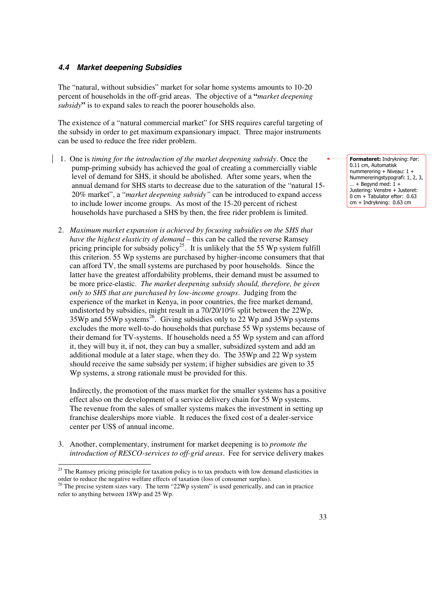#### **4.4 Market deepening Subsidies**

The "natural, without subsidies" market for solar home systems amounts to 10-20 percent of households in the off-grid areas. The objective of a **"***market deepening subsidy***"** is to expand sales to reach the poorer households also.

The existence of a "natural commercial market" for SHS requires careful targeting of the subsidy in order to get maximum expansionary impact. Three major instruments can be used to reduce the free rider problem.

- 1. One is *timing for the introduction of the market deepening subsidy*. Once the pump-priming subsidy has achieved the goal of creating a commercially viable level of demand for SHS, it should be abolished. After some years, when the annual demand for SHS starts to decrease due to the saturation of the "natural 15- 20% market", a "*market deepening subsidy"* can be introduced to expand access to include lower income groups. As most of the 15-20 percent of richest households have purchased a SHS by then, the free rider problem is limited.
- 2. *Maximum market expansion is achieved by focusing subsidies on the SHS that have the highest elasticity of demand* – this can be called the reverse Ramsey pricing principle for subsidy policy<sup>25</sup>. It is unlikely that the 55 Wp system fulfill this criterion. 55 Wp systems are purchased by higher-income consumers that that can afford TV, the small systems are purchased by poor households. Since the latter have the greatest affordability problems, their demand must be assumed to be more price-elastic. *The market deepening subsidy should, therefore, be given only to SHS that are purchased by low-income groups*. Judging from the experience of the market in Kenya, in poor countries, the free market demand, undistorted by subsidies, might result in a 70/20/10% split between the 22Wp, 35Wp and 55Wp systems<sup>26</sup>. Giving subsidies only to  $22$  Wp and 35Wp systems excludes the more well-to-do households that purchase 55 Wp systems because of their demand for TV-systems. If households need a 55 Wp system and can afford it, they will buy it, if not, they can buy a smaller, subsidized system and add an additional module at a later stage, when they do. The 35Wp and 22 Wp system should receive the same subsidy per system; if higher subsidies are given to 35 Wp systems, a strong rationale must be provided for this.

Indirectly, the promotion of the mass market for the smaller systems has a positive effect also on the development of a service delivery chain for 55 Wp systems. The revenue from the sales of smaller systems makes the investment in setting up franchise dealerships more viable. It reduces the fixed cost of a dealer-service center per US\$ of annual income.

3. Another, complementary, instrument for market deepening is to *promote the introduction of RESCO-services to off-grid areas*. Fee for service delivery makes

 $\ddot{ }$ 

Formateret: Indrykning: Før: 0.11 cm, Automatisk nummerering + Niveau: 1 + Nummereringstypografi: 1, 2, 3,  $...$  + Begynd med:  $1 +$ Justering: Venstre + Justeret: 0 cm + Tabulator efter: 0.63 cm + Indrykning: 0.63 cm

<sup>&</sup>lt;sup>25</sup> The Ramsey pricing principle for taxation policy is to tax products with low demand elasticities in order to reduce the negative welfare effects of taxation (loss of consumer surplus).

 $26$  The precise system sizes vary. The term "22Wp system" is used generically, and can in practice refer to anything between 18Wp and 25 Wp.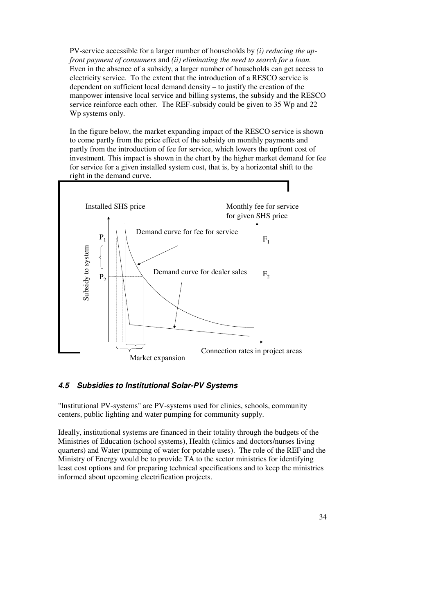PV-service accessible for a larger number of households by *(i) reducing the upfront payment of consumers* and *(ii) eliminating the need to search for a loan.* Even in the absence of a subsidy, a larger number of households can get access to electricity service. To the extent that the introduction of a RESCO service is dependent on sufficient local demand density – to justify the creation of the manpower intensive local service and billing systems, the subsidy and the RESCO service reinforce each other. The REF-subsidy could be given to 35 Wp and 22 Wp systems only.

In the figure below, the market expanding impact of the RESCO service is shown to come partly from the price effect of the subsidy on monthly payments and partly from the introduction of fee for service, which lowers the upfront cost of investment. This impact is shown in the chart by the higher market demand for fee for service for a given installed system cost, that is, by a horizontal shift to the right in the demand curve.



#### **4.5 Subsidies to Institutional Solar-PV Systems**

"Institutional PV-systems" are PV-systems used for clinics, schools, community centers, public lighting and water pumping for community supply.

Ideally, institutional systems are financed in their totality through the budgets of the Ministries of Education (school systems), Health (clinics and doctors/nurses living quarters) and Water (pumping of water for potable uses). The role of the REF and the Ministry of Energy would be to provide TA to the sector ministries for identifying least cost options and for preparing technical specifications and to keep the ministries informed about upcoming electrification projects.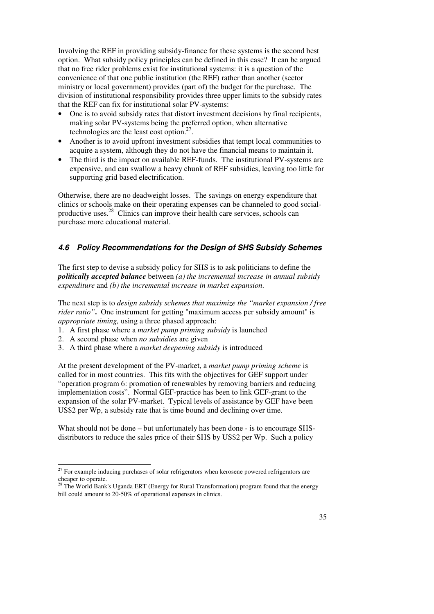Involving the REF in providing subsidy-finance for these systems is the second best option. What subsidy policy principles can be defined in this case? It can be argued that no free rider problems exist for institutional systems: it is a question of the convenience of that one public institution (the REF) rather than another (sector ministry or local government) provides (part of) the budget for the purchase. The division of institutional responsibility provides three upper limits to the subsidy rates that the REF can fix for institutional solar PV-systems:

- One is to avoid subsidy rates that distort investment decisions by final recipients, making solar PV-systems being the preferred option, when alternative technologies are the least cost option.<sup>27</sup> .
- Another is to avoid upfront investment subsidies that tempt local communities to acquire a system, although they do not have the financial means to maintain it.
- The third is the impact on available REF-funds. The institutional PV-systems are expensive, and can swallow a heavy chunk of REF subsidies, leaving too little for supporting grid based electrification.

Otherwise, there are no deadweight losses. The savings on energy expenditure that clinics or schools make on their operating expenses can be channeled to good socialproductive uses.<sup>28</sup> Clinics can improve their health care services, schools can purchase more educational material.

# **4.6 Policy Recommendations for the Design of SHS Subsidy Schemes**

The first step to devise a subsidy policy for SHS is to ask politicians to define the *politically accepted balance* between *(a) the incremental increase in annual subsidy expenditure* and *(b) the incremental increase in market expansion.*

The next step is to *design subsidy schemes that maximize the "market expansion / free rider ratio"***.** One instrument for getting "maximum access per subsidy amount" is *appropriate timing,* using a three phased approach:

- 1. A first phase where a *market pump priming subsidy* is launched
- 2. A second phase when *no subsidies* are given

 $\ddot{ }$ 

3. A third phase where a *market deepening subsidy* is introduced

At the present development of the PV-market, a *market pump priming scheme* is called for in most countries. This fits with the objectives for GEF support under "operation program 6: promotion of renewables by removing barriers and reducing implementation costs". Normal GEF-practice has been to link GEF-grant to the expansion of the solar PV-market. Typical levels of assistance by GEF have been US\$2 per Wp, a subsidy rate that is time bound and declining over time.

What should not be done – but unfortunately has been done - is to encourage SHSdistributors to reduce the sales price of their SHS by US\$2 per Wp. Such a policy

 $27$  For example inducing purchases of solar refrigerators when kerosene powered refrigerators are cheaper to operate.

 $28$  The World Bank's Uganda ERT (Energy for Rural Transformation) program found that the energy bill could amount to 20-50% of operational expenses in clinics.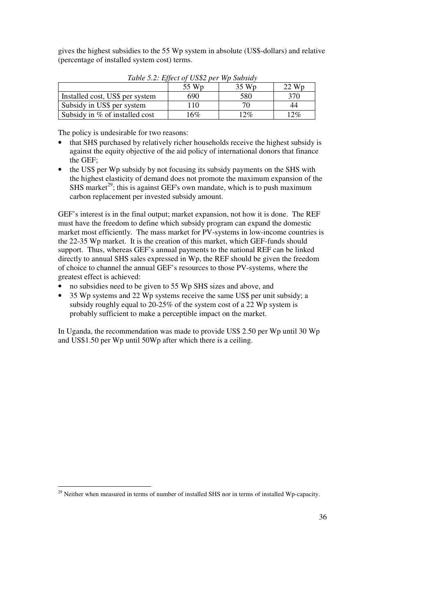gives the highest subsidies to the 55 Wp system in absolute (US\$-dollars) and relative (percentage of installed system cost) terms.

| Tuble 5.2. Effect by $0.592$ per Wp Subsidy |       |        |                    |  |  |  |
|---------------------------------------------|-------|--------|--------------------|--|--|--|
|                                             | 55 Wp | 35 Wp  | $22 \,\mathrm{Wp}$ |  |  |  |
| Installed cost, US\$ per system             | 690   | 580    | 370                |  |  |  |
| Subsidy in US\$ per system                  | 110   |        | 44                 |  |  |  |
| Subsidy in % of installed cost              | 16%   | $12\%$ | $12\%$             |  |  |  |

*Table 5.2: Effect of US\$2 per Wp Subsidy* 

The policy is undesirable for two reasons:

- that SHS purchased by relatively richer households receive the highest subsidy is against the equity objective of the aid policy of international donors that finance the GEF;
- the US\$ per Wp subsidy by not focusing its subsidy payments on the SHS with the highest elasticity of demand does not promote the maximum expansion of the SHS market<sup>29</sup>; this is against GEF's own mandate, which is to push maximum carbon replacement per invested subsidy amount.

GEF's interest is in the final output; market expansion, not how it is done. The REF must have the freedom to define which subsidy program can expand the domestic market most efficiently. The mass market for PV-systems in low-income countries is the 22-35 Wp market. It is the creation of this market, which GEF-funds should support. Thus, whereas GEF's annual payments to the national REF can be linked directly to annual SHS sales expressed in Wp, the REF should be given the freedom of choice to channel the annual GEF's resources to those PV-systems, where the greatest effect is achieved:

- no subsidies need to be given to 55 Wp SHS sizes and above, and
- 35 Wp systems and 22 Wp systems receive the same US\$ per unit subsidy; a subsidy roughly equal to 20-25% of the system cost of a 22 Wp system is probably sufficient to make a perceptible impact on the market.

In Uganda, the recommendation was made to provide US\$ 2.50 per Wp until 30 Wp and US\$1.50 per Wp until 50Wp after which there is a ceiling.

 $\overline{a}$ 

 $29$  Neither when measured in terms of number of installed SHS nor in terms of installed Wp-capacity.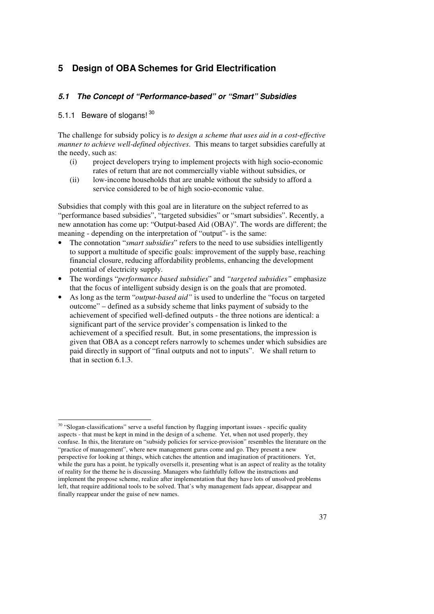# **5 Design of OBA Schemes for Grid Electrification**

#### **5.1 The Concept of "Performance-based" or "Smart" Subsidies**

#### 5.1.1 Beware of slogans! 30

The challenge for subsidy policy is *to design a scheme that uses aid in a cost-effective manner to achieve well-defined objectives*. This means to target subsidies carefully at the needy, such as:

- (i) project developers trying to implement projects with high socio-economic rates of return that are not commercially viable without subsidies, or
- (ii) low-income households that are unable without the subsidy to afford a service considered to be of high socio-economic value.

Subsidies that comply with this goal are in literature on the subject referred to as "performance based subsidies", "targeted subsidies" or "smart subsidies". Recently, a new annotation has come up: "Output-based Aid (OBA)". The words are different; the meaning - depending on the interpretation of "output"- is the same:

- The connotation "*smart subsidies*" refers to the need to use subsidies intelligently to support a multitude of specific goals: improvement of the supply base, reaching financial closure, reducing affordability problems, enhancing the development potential of electricity supply.
- The wordings "*performance based subsidies*" and *"targeted subsidies"* emphasize that the focus of intelligent subsidy design is on the goals that are promoted.
- As long as the term "*output-based aid"* is used to underline the "focus on targeted outcome" – defined as a subsidy scheme that links payment of subsidy to the achievement of specified well-defined outputs - the three notions are identical: a significant part of the service provider's compensation is linked to the achievement of a specified result. But, in some presentations, the impression is given that OBA as a concept refers narrowly to schemes under which subsidies are paid directly in support of "final outputs and not to inputs". We shall return to that in section 6.1.3.

 $\ddot{ }$ <sup>30</sup> "Slogan-classifications" serve a useful function by flagging important issues - specific quality aspects - that must be kept in mind in the design of a scheme. Yet, when not used properly, they confuse. In this, the literature on "subsidy policies for service-provision" resembles the literature on the "practice of management", where new management gurus come and go. They present a new perspective for looking at things, which catches the attention and imagination of practitioners. Yet, while the guru has a point, he typically oversells it, presenting what is an aspect of reality as the totality of reality for the theme he is discussing. Managers who faithfully follow the instructions and implement the propose scheme, realize after implementation that they have lots of unsolved problems left, that require additional tools to be solved. That's why management fads appear, disappear and finally reappear under the guise of new names.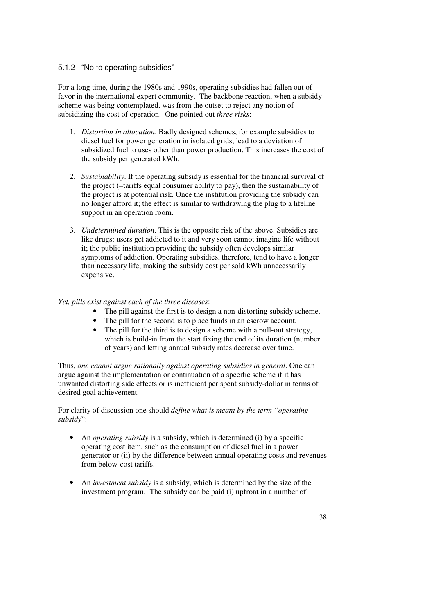#### 5.1.2 "No to operating subsidies"

For a long time, during the 1980s and 1990s, operating subsidies had fallen out of favor in the international expert community. The backbone reaction, when a subsidy scheme was being contemplated, was from the outset to reject any notion of subsidizing the cost of operation. One pointed out *three risks*:

- 1. *Distortion in allocation*. Badly designed schemes, for example subsidies to diesel fuel for power generation in isolated grids, lead to a deviation of subsidized fuel to uses other than power production. This increases the cost of the subsidy per generated kWh.
- 2. *Sustainability*. If the operating subsidy is essential for the financial survival of the project (=tariffs equal consumer ability to pay), then the sustainability of the project is at potential risk. Once the institution providing the subsidy can no longer afford it; the effect is similar to withdrawing the plug to a lifeline support in an operation room.
- 3. *Undetermined duration*. This is the opposite risk of the above. Subsidies are like drugs: users get addicted to it and very soon cannot imagine life without it; the public institution providing the subsidy often develops similar symptoms of addiction. Operating subsidies, therefore, tend to have a longer than necessary life, making the subsidy cost per sold kWh unnecessarily expensive.

#### *Yet, pills exist against each of the three diseases*:

- The pill against the first is to design a non-distorting subsidy scheme.
- The pill for the second is to place funds in an escrow account.
- The pill for the third is to design a scheme with a pull-out strategy, which is build-in from the start fixing the end of its duration (number of years) and letting annual subsidy rates decrease over time.

Thus, *one cannot argue rationally against operating subsidies in general*. One can argue against the implementation or continuation of a specific scheme if it has unwanted distorting side effects or is inefficient per spent subsidy-dollar in terms of desired goal achievement.

For clarity of discussion one should *define what is meant by the term "operating subsidy*":

- An *operating subsidy* is a subsidy, which is determined (i) by a specific operating cost item, such as the consumption of diesel fuel in a power generator or (ii) by the difference between annual operating costs and revenues from below-cost tariffs.
- An *investment subsidy* is a subsidy, which is determined by the size of the investment program. The subsidy can be paid (i) upfront in a number of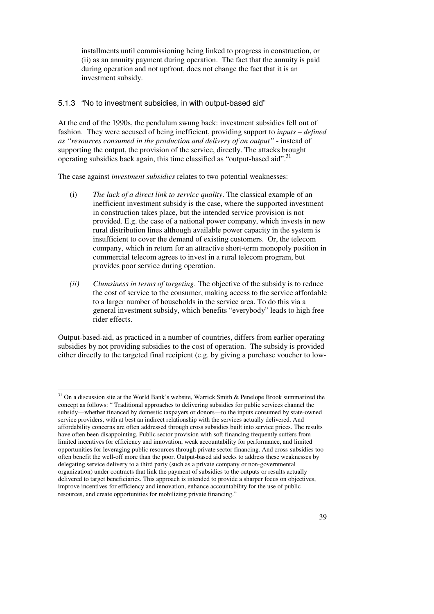installments until commissioning being linked to progress in construction, or (ii) as an annuity payment during operation. The fact that the annuity is paid during operation and not upfront, does not change the fact that it is an investment subsidy.

#### 5.1.3 "No to investment subsidies, in with output-based aid"

At the end of the 1990s, the pendulum swung back: investment subsidies fell out of fashion. They were accused of being inefficient, providing support to *inputs – defined as "resources consumed in the production and delivery of an output"* - instead of supporting the output, the provision of the service, directly. The attacks brought operating subsidies back again, this time classified as "output-based aid".<sup>31</sup>

The case against *investment subsidies* relates to two potential weaknesses:

- (i) *The lack of a direct link to service quality*. The classical example of an inefficient investment subsidy is the case, where the supported investment in construction takes place, but the intended service provision is not provided. E.g. the case of a national power company, which invests in new rural distribution lines although available power capacity in the system is insufficient to cover the demand of existing customers. Or, the telecom company, which in return for an attractive short-term monopoly position in commercial telecom agrees to invest in a rural telecom program, but provides poor service during operation.
- *(ii) Clumsiness in terms of targeting*. The objective of the subsidy is to reduce the cost of service to the consumer, making access to the service affordable to a larger number of households in the service area. To do this via a general investment subsidy, which benefits "everybody" leads to high free rider effects.

Output-based-aid, as practiced in a number of countries, differs from earlier operating subsidies by not providing subsidies to the cost of operation. The subsidy is provided either directly to the targeted final recipient (e.g. by giving a purchase voucher to low-

 $\overline{a}$ 

 $31$  On a discussion site at the World Bank's website, Warrick Smith & Penelope Brook summarized the concept as follows: " Traditional approaches to delivering subsidies for public services channel the subsidy—whether financed by domestic taxpayers or donors—to the inputs consumed by state-owned service providers, with at best an indirect relationship with the services actually delivered. And affordability concerns are often addressed through cross subsidies built into service prices. The results have often been disappointing. Public sector provision with soft financing frequently suffers from limited incentives for efficiency and innovation, weak accountability for performance, and limited opportunities for leveraging public resources through private sector financing. And cross-subsidies too often benefit the well-off more than the poor. Output-based aid seeks to address these weaknesses by delegating service delivery to a third party (such as a private company or non-governmental organization) under contracts that link the payment of subsidies to the outputs or results actually delivered to target beneficiaries. This approach is intended to provide a sharper focus on objectives, improve incentives for efficiency and innovation, enhance accountability for the use of public resources, and create opportunities for mobilizing private financing."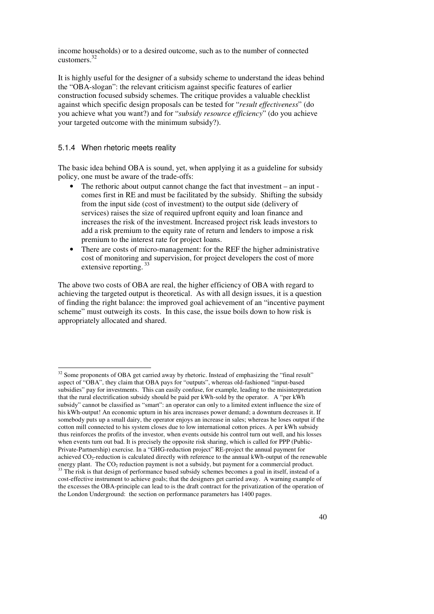income households) or to a desired outcome, such as to the number of connected customers.<sup>32</sup>

It is highly useful for the designer of a subsidy scheme to understand the ideas behind the "OBA-slogan": the relevant criticism against specific features of earlier construction focused subsidy schemes. The critique provides a valuable checklist against which specific design proposals can be tested for "*result effectiveness*" (do you achieve what you want?) and for "*subsidy resource efficiency*" (do you achieve your targeted outcome with the minimum subsidy?).

#### 5.1.4 When rhetoric meets reality

The basic idea behind OBA is sound, yet, when applying it as a guideline for subsidy policy, one must be aware of the trade-offs:

- The rethoric about output cannot change the fact that investment an input comes first in RE and must be facilitated by the subsidy. Shifting the subsidy from the input side (cost of investment) to the output side (delivery of services) raises the size of required upfront equity and loan finance and increases the risk of the investment. Increased project risk leads investors to add a risk premium to the equity rate of return and lenders to impose a risk premium to the interest rate for project loans.
- There are costs of micro-management: for the REF the higher administrative cost of monitoring and supervision, for project developers the cost of more extensive reporting.<sup>33</sup>

The above two costs of OBA are real, the higher efficiency of OBA with regard to achieving the targeted output is theoretical. As with all design issues, it is a question of finding the right balance: the improved goal achievement of an "incentive payment scheme" must outweigh its costs. In this case, the issue boils down to how risk is appropriately allocated and shared.

 $\overline{a}$  $32$  Some proponents of OBA get carried away by rhetoric. Instead of emphasizing the "final result" aspect of "OBA", they claim that OBA pays for "outputs", whereas old-fashioned "input-based subsidies" pay for investments. This can easily confuse, for example, leading to the misinterpretation that the rural electrification subsidy should be paid per kWh-sold by the operator. A "per kWh subsidy" cannot be classified as "smart": an operator can only to a limited extent influence the size of his kWh-output! An economic upturn in his area increases power demand; a downturn decreases it. If somebody puts up a small dairy, the operator enjoys an increase in sales; whereas he loses output if the cotton mill connected to his system closes due to low international cotton prices. A per kWh subsidy thus reinforces the profits of the investor, when events outside his control turn out well, and his losses when events turn out bad. It is precisely the opposite risk sharing, which is called for PPP (Public-Private-Partnership) exercise. In a "GHG-reduction project" RE-project the annual payment for achieved CO2-reduction is calculated directly with reference to the annual kWh-output of the renewable energy plant. The  $CO<sub>2</sub>$  reduction payment is not a subsidy, but payment for a commercial product. <sup>33</sup> The risk is that design of performance based subsidy schemes becomes a goal in itself, instead of a cost-effective instrument to achieve goals; that the designers get carried away. A warning example of the excesses the OBA-principle can lead to is the draft contract for the privatization of the operation of the London Underground: the section on performance parameters has 1400 pages.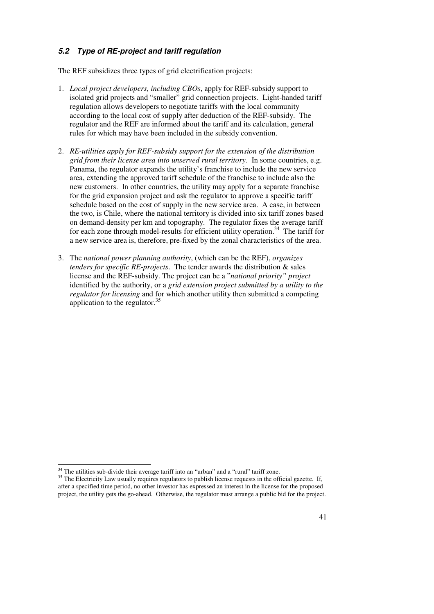## **5.2 Type of RE-project and tariff regulation**

The REF subsidizes three types of grid electrification projects:

- 1. *Local project developers, including CBOs*, apply for REF-subsidy support to isolated grid projects and "smaller" grid connection projects. Light-handed tariff regulation allows developers to negotiate tariffs with the local community according to the local cost of supply after deduction of the REF-subsidy. The regulator and the REF are informed about the tariff and its calculation, general rules for which may have been included in the subsidy convention.
- 2. *RE-utilities apply for REF-subsidy support for the extension of the distribution grid from their license area into unserved rural territory*. In some countries, e.g. Panama, the regulator expands the utility's franchise to include the new service area, extending the approved tariff schedule of the franchise to include also the new customers. In other countries, the utility may apply for a separate franchise for the grid expansion project and ask the regulator to approve a specific tariff schedule based on the cost of supply in the new service area. A case, in between the two, is Chile, where the national territory is divided into six tariff zones based on demand-density per km and topography. The regulator fixes the average tariff for each zone through model-results for efficient utility operation.<sup>34</sup> The tariff for a new service area is, therefore, pre-fixed by the zonal characteristics of the area.
- 3. The *national power planning authority*, (which can be the REF), *organizes tenders for specific RE-projects*. The tender awards the distribution & sales license and the REF-subsidy. The project can be a "*national priority" project*  identified by the authority, or a *grid extension project submitted by a utility to the regulator for licensing* and for which another utility then submitted a competing application to the regulator.<sup>35</sup>

 $\ddot{ }$ 

 $34$  The utilities sub-divide their average tariff into an "urban" and a "rural" tariff zone.

<sup>&</sup>lt;sup>35</sup> The Electricity Law usually requires regulators to publish license requests in the official gazette. If, after a specified time period, no other investor has expressed an interest in the license for the proposed project, the utility gets the go-ahead. Otherwise, the regulator must arrange a public bid for the project.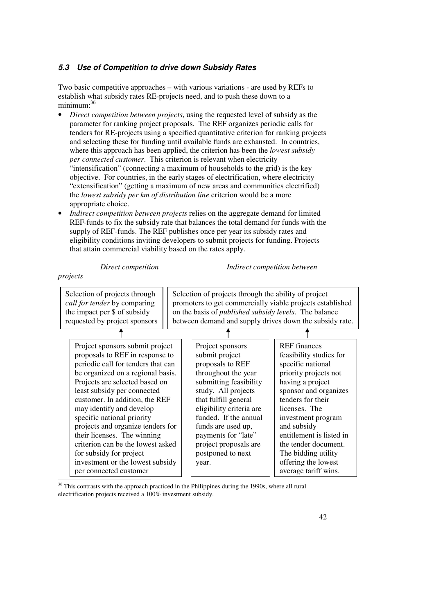#### **5.3 Use of Competition to drive down Subsidy Rates**

Two basic competitive approaches – with various variations - are used by REFs to establish what subsidy rates RE-projects need, and to push these down to a minimum:<sup>36</sup>

- *Direct competition between projects*, using the requested level of subsidy as the parameter for ranking project proposals. The REF organizes periodic calls for tenders for RE-projects using a specified quantitative criterion for ranking projects and selecting these for funding until available funds are exhausted. In countries, where this approach has been applied, the criterion has been the *lowest subsidy per connected customer*. This criterion is relevant when electricity "intensification" (connecting a maximum of households to the grid) is the key objective. For countries, in the early stages of electrification, where electricity "extensification" (getting a maximum of new areas and communities electrified) the *lowest subsidy per km of distribution line* criterion would be a more appropriate choice.
- *Indirect competition between projects* relies on the aggregate demand for limited REF-funds to fix the subsidy rate that balances the total demand for funds with the supply of REF-funds. The REF publishes once per year its subsidy rates and eligibility conditions inviting developers to submit projects for funding. Projects that attain commercial viability based on the rates apply.

*Direct competition Indirect competition between* 

#### *projects*

 $\overline{a}$ 

| Selection of projects through<br>call for tender by comparing<br>the impact per \$ of subsidy<br>requested by project sponsors                                                                                                                                                                                                                                                                                                                                                                               | Selection of projects through the ability of project<br>on the basis of <i>published subsidy levels</i> . The balance                                                                                                                                                                                           | promoters to get commercially viable projects established<br>between demand and supply drives down the subsidy rate.                                                                                                                                                                                                                           |
|--------------------------------------------------------------------------------------------------------------------------------------------------------------------------------------------------------------------------------------------------------------------------------------------------------------------------------------------------------------------------------------------------------------------------------------------------------------------------------------------------------------|-----------------------------------------------------------------------------------------------------------------------------------------------------------------------------------------------------------------------------------------------------------------------------------------------------------------|------------------------------------------------------------------------------------------------------------------------------------------------------------------------------------------------------------------------------------------------------------------------------------------------------------------------------------------------|
|                                                                                                                                                                                                                                                                                                                                                                                                                                                                                                              |                                                                                                                                                                                                                                                                                                                 |                                                                                                                                                                                                                                                                                                                                                |
| Project sponsors submit project<br>proposals to REF in response to<br>periodic call for tenders that can<br>be organized on a regional basis.<br>Projects are selected based on<br>least subsidy per connected<br>customer. In addition, the REF<br>may identify and develop<br>specific national priority<br>projects and organize tenders for<br>their licenses. The winning<br>criterion can be the lowest asked<br>for subsidy for project<br>investment or the lowest subsidy<br>per connected customer | Project sponsors<br>submit project<br>proposals to REF<br>throughout the year<br>submitting feasibility<br>study. All projects<br>that fulfill general<br>eligibility criteria are<br>funded. If the annual<br>funds are used up,<br>payments for "late"<br>project proposals are<br>postponed to next<br>year. | <b>REF</b> finances<br>feasibility studies for<br>specific national<br>priority projects not<br>having a project<br>sponsor and organizes<br>tenders for their<br>licenses. The<br>investment program<br>and subsidy<br>entitlement is listed in<br>the tender document.<br>The bidding utility<br>offering the lowest<br>average tariff wins. |

<sup>36</sup> This contrasts with the approach practiced in the Philippines during the 1990s, where all rural electrification projects received a 100% investment subsidy.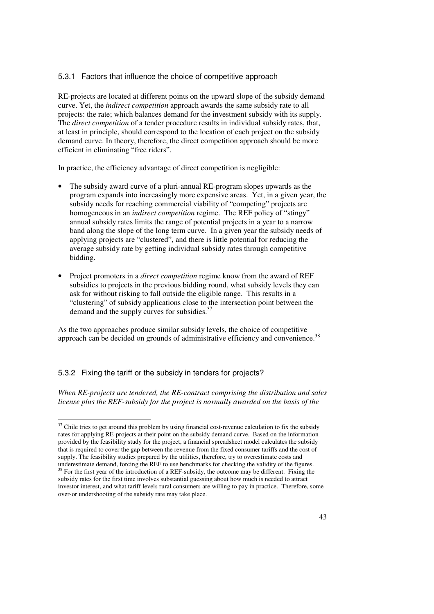#### 5.3.1 Factors that influence the choice of competitive approach

RE-projects are located at different points on the upward slope of the subsidy demand curve. Yet, the *indirect competition* approach awards the same subsidy rate to all projects: the rate; which balances demand for the investment subsidy with its supply. The *direct competition* of a tender procedure results in individual subsidy rates, that, at least in principle, should correspond to the location of each project on the subsidy demand curve. In theory, therefore, the direct competition approach should be more efficient in eliminating "free riders".

In practice, the efficiency advantage of direct competition is negligible:

- The subsidy award curve of a pluri-annual RE-program slopes upwards as the program expands into increasingly more expensive areas. Yet, in a given year, the subsidy needs for reaching commercial viability of "competing" projects are homogeneous in an *indirect competition* regime. The REF policy of "stingy" annual subsidy rates limits the range of potential projects in a year to a narrow band along the slope of the long term curve. In a given year the subsidy needs of applying projects are "clustered", and there is little potential for reducing the average subsidy rate by getting individual subsidy rates through competitive bidding.
- Project promoters in a *direct competition* regime know from the award of REF subsidies to projects in the previous bidding round, what subsidy levels they can ask for without risking to fall outside the eligible range. This results in a "clustering" of subsidy applications close to the intersection point between the demand and the supply curves for subsidies.<sup>37</sup>

As the two approaches produce similar subsidy levels, the choice of competitive approach can be decided on grounds of administrative efficiency and convenience. $^{38}$ 

#### 5.3.2 Fixing the tariff or the subsidy in tenders for projects?

*When RE-projects are tendered, the RE-contract comprising the distribution and sales license plus the REF-subsidy for the project is normally awarded on the basis of the* 

 $\ddot{ }$  $37$  Chile tries to get around this problem by using financial cost-revenue calculation to fix the subsidy rates for applying RE-projects at their point on the subsidy demand curve. Based on the information provided by the feasibility study for the project, a financial spreadsheet model calculates the subsidy that is required to cover the gap between the revenue from the fixed consumer tariffs and the cost of supply. The feasibility studies prepared by the utilities, therefore, try to overestimate costs and underestimate demand, forcing the REF to use benchmarks for checking the validity of the figures. <sup>38</sup> For the first year of the introduction of a REF-subsidy, the outcome may be different. Fixing the subsidy rates for the first time involves substantial guessing about how much is needed to attract investor interest, and what tariff levels rural consumers are willing to pay in practice. Therefore, some

over-or undershooting of the subsidy rate may take place.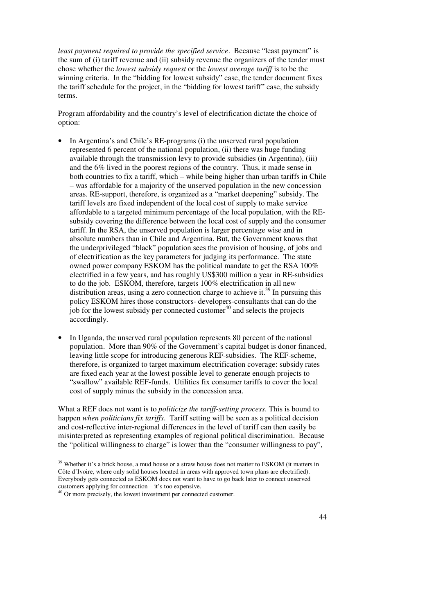*least payment required to provide the specified service*. Because "least payment" is the sum of (i) tariff revenue and (ii) subsidy revenue the organizers of the tender must chose whether the *lowest subsidy request* or the *lowest average tariff* is to be the winning criteria. In the "bidding for lowest subsidy" case, the tender document fixes the tariff schedule for the project, in the "bidding for lowest tariff" case, the subsidy terms.

Program affordability and the country's level of electrification dictate the choice of option:

- In Argentina's and Chile's RE-programs (i) the unserved rural population represented 6 percent of the national population, (ii) there was huge funding available through the transmission levy to provide subsidies (in Argentina), (iii) and the 6% lived in the poorest regions of the country. Thus, it made sense in both countries to fix a tariff, which – while being higher than urban tariffs in Chile – was affordable for a majority of the unserved population in the new concession areas. RE-support, therefore, is organized as a "market deepening" subsidy. The tariff levels are fixed independent of the local cost of supply to make service affordable to a targeted minimum percentage of the local population, with the REsubsidy covering the difference between the local cost of supply and the consumer tariff. In the RSA, the unserved population is larger percentage wise and in absolute numbers than in Chile and Argentina. But, the Government knows that the underprivileged "black" population sees the provision of housing, of jobs and of electrification as the key parameters for judging its performance. The state owned power company ESKOM has the political mandate to get the RSA 100% electrified in a few years, and has roughly US\$300 million a year in RE-subsidies to do the job. ESKOM, therefore, targets 100% electrification in all new distribution areas, using a zero connection charge to achieve it.<sup>39</sup> In pursuing this policy ESKOM hires those constructors- developers-consultants that can do the job for the lowest subsidy per connected customer $40$  and selects the projects accordingly.
- In Uganda, the unserved rural population represents 80 percent of the national population. More than 90% of the Government's capital budget is donor financed, leaving little scope for introducing generous REF-subsidies. The REF-scheme, therefore, is organized to target maximum electrification coverage: subsidy rates are fixed each year at the lowest possible level to generate enough projects to "swallow" available REF-funds. Utilities fix consumer tariffs to cover the local cost of supply minus the subsidy in the concession area.

What a REF does not want is to *politicize the tariff-setting process*. This is bound to happen *when politicians fix tariffs*. Tariff setting will be seen as a political decision and cost-reflective inter-regional differences in the level of tariff can then easily be misinterpreted as representing examples of regional political discrimination. Because the "political willingness to charge" is lower than the "consumer willingness to pay",

 $\overline{a}$ 

<sup>&</sup>lt;sup>39</sup> Whether it's a brick house, a mud house or a straw house does not matter to ESKOM (it matters in Côte d'Ivoire, where only solid houses located in areas with approved town plans are electrified). Everybody gets connected as ESKOM does not want to have to go back later to connect unserved customers applying for connection – it's too expensive.

<sup>&</sup>lt;sup>40</sup> Or more precisely, the lowest investment per connected customer.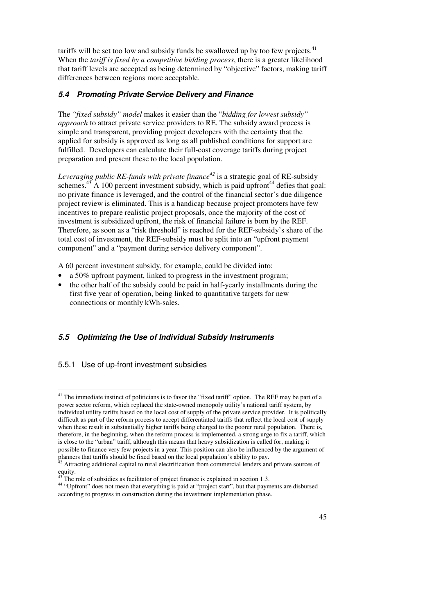tariffs will be set too low and subsidy funds be swallowed up by too few projects. $41$ When the *tariff is fixed by a competitive bidding process*, there is a greater likelihood that tariff levels are accepted as being determined by "objective" factors, making tariff differences between regions more acceptable.

## **5.4 Promoting Private Service Delivery and Finance**

The *"fixed subsidy" model* makes it easier than the "*bidding for lowest subsidy" approach* to attract private service providers to RE. The subsidy award process is simple and transparent, providing project developers with the certainty that the applied for subsidy is approved as long as all published conditions for support are fulfilled. Developers can calculate their full-cost coverage tariffs during project preparation and present these to the local population.

*Leveraging public RE-funds with private finance<sup>42</sup>* is a strategic goal of RE-subsidy schemes. $^{43}$  A 100 percent investment subsidy, which is paid upfront<sup>44</sup> defies that goal: no private finance is leveraged, and the control of the financial sector's due diligence project review is eliminated. This is a handicap because project promoters have few incentives to prepare realistic project proposals, once the majority of the cost of investment is subsidized upfront, the risk of financial failure is born by the REF. Therefore, as soon as a "risk threshold" is reached for the REF-subsidy's share of the total cost of investment, the REF-subsidy must be split into an "upfront payment component" and a "payment during service delivery component".

A 60 percent investment subsidy, for example, could be divided into:

- a 50% upfront payment, linked to progress in the investment program;
- the other half of the subsidy could be paid in half-yearly installments during the first five year of operation, being linked to quantitative targets for new connections or monthly kWh-sales.

# **5.5 Optimizing the Use of Individual Subsidy Instruments**

#### 5.5.1 Use of up-front investment subsidies

 $\overline{a}$ 

<sup>&</sup>lt;sup>41</sup> The immediate instinct of politicians is to favor the "fixed tariff" option. The REF may be part of a power sector reform, which replaced the state-owned monopoly utility's national tariff system, by individual utility tariffs based on the local cost of supply of the private service provider. It is politically difficult as part of the reform process to accept differentiated tariffs that reflect the local cost of supply when these result in substantially higher tariffs being charged to the poorer rural population. There is, therefore, in the beginning, when the reform process is implemented, a strong urge to fix a tariff, which is close to the "urban" tariff, although this means that heavy subsidization is called for, making it possible to finance very few projects in a year. This position can also be influenced by the argument of planners that tariffs should be fixed based on the local population's ability to pay.

 $<sup>2</sup>$  Attracting additional capital to rural electrification from commercial lenders and private sources of</sup> equity.

The role of subsidies as facilitator of project finance is explained in section 1.3.

<sup>&</sup>lt;sup>44</sup> "Upfront" does not mean that everything is paid at "project start", but that payments are disbursed according to progress in construction during the investment implementation phase.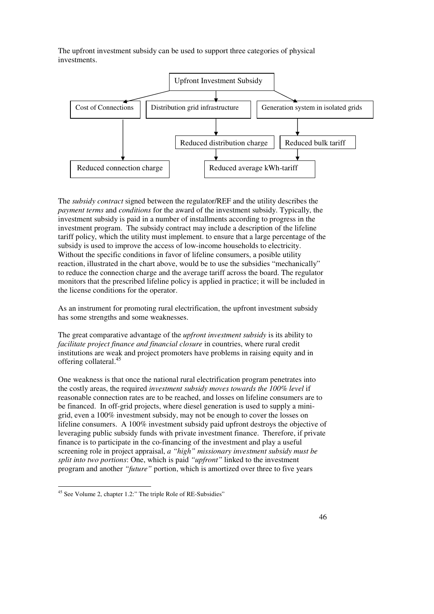The upfront investment subsidy can be used to support three categories of physical investments.



The *subsidy contract* signed between the regulator/REF and the utility describes the *payment terms* and *conditions* for the award of the investment subsidy. Typically, the investment subsidy is paid in a number of installments according to progress in the investment program. The subsidy contract may include a description of the lifeline tariff policy, which the utility must implement. to ensure that a large percentage of the subsidy is used to improve the access of low-income households to electricity. Without the specific conditions in favor of lifeline consumers, a posible utility reaction, illustrated in the chart above, would be to use the subsidies "mechanically" to reduce the connection charge and the average tariff across the board. The regulator monitors that the prescribed lifeline policy is applied in practice; it will be included in the license conditions for the operator.

As an instrument for promoting rural electrification, the upfront investment subsidy has some strengths and some weaknesses.

The great comparative advantage of the *upfront investment subsidy* is its ability to *facilitate project finance and financial closure* in countries, where rural credit institutions are weak and project promoters have problems in raising equity and in offering collateral.<sup>45</sup>

One weakness is that once the national rural electrification program penetrates into the costly areas, the required *investment subsidy moves towards the 100% level* if reasonable connection rates are to be reached, and losses on lifeline consumers are to be financed. In off-grid projects, where diesel generation is used to supply a minigrid, even a 100% investment subsidy, may not be enough to cover the losses on lifeline consumers. A 100% investment subsidy paid upfront destroys the objective of leveraging public subsidy funds with private investment finance. Therefore, if private finance is to participate in the co-financing of the investment and play a useful screening role in project appraisal, *a "high" missionary investment subsidy must be split into two portions*: One, which is paid *"upfront"* linked to the investment program and another *"future"* portion, which is amortized over three to five years

 $\overline{a}$ <sup>45</sup> See Volume 2, chapter 1.2:" The triple Role of RE-Subsidies"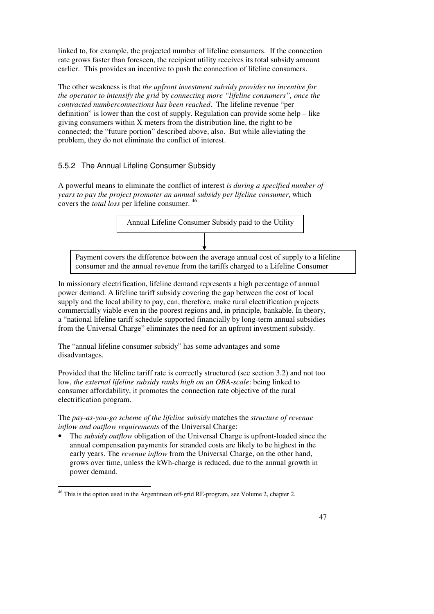linked to, for example, the projected number of lifeline consumers. If the connection rate grows faster than foreseen, the recipient utility receives its total subsidy amount earlier. This provides an incentive to push the connection of lifeline consumers.

The other weakness is that *the upfront investment subsidy provides no incentive for the operator to intensify the grid* by *connecting more "lifeline consumers", once the contracted numberconnections has been reached*. The lifeline revenue "per definition" is lower than the cost of supply. Regulation can provide some help – like giving consumers within X meters from the distribution line, the right to be connected; the "future portion" described above, also. But while alleviating the problem, they do not eliminate the conflict of interest.

# 5.5.2 The Annual Lifeline Consumer Subsidy

A powerful means to eliminate the conflict of interest *is during a specified number of years to pay the project promoter an annual subsidy per lifeline consumer*, which covers the *total loss* per lifeline consumer. <sup>46</sup>



In missionary electrification, lifeline demand represents a high percentage of annual power demand. A lifeline tariff subsidy covering the gap between the cost of local supply and the local ability to pay, can, therefore, make rural electrification projects commercially viable even in the poorest regions and, in principle, bankable. In theory, a "national lifeline tariff schedule supported financially by long-term annual subsidies from the Universal Charge" eliminates the need for an upfront investment subsidy.

The "annual lifeline consumer subsidy" has some advantages and some disadvantages.

Provided that the lifeline tariff rate is correctly structured (see section 3.2) and not too low, *the external lifeline subsidy ranks high on an OBA-scale*: being linked to consumer affordability, it promotes the connection rate objective of the rural electrification program.

The *pay-as-you-go scheme of the lifeline subsidy* matches the *structure of revenue inflow and outflow requirements* of the Universal Charge:

• The *subsidy outflow* obligation of the Universal Charge is upfront-loaded since the annual compensation payments for stranded costs are likely to be highest in the early years. The *revenue inflow* from the Universal Charge, on the other hand, grows over time, unless the kWh-charge is reduced, due to the annual growth in power demand.

 $\overline{a}$  $46$  This is the option used in the Argentinean off-grid RE-program, see Volume 2, chapter 2.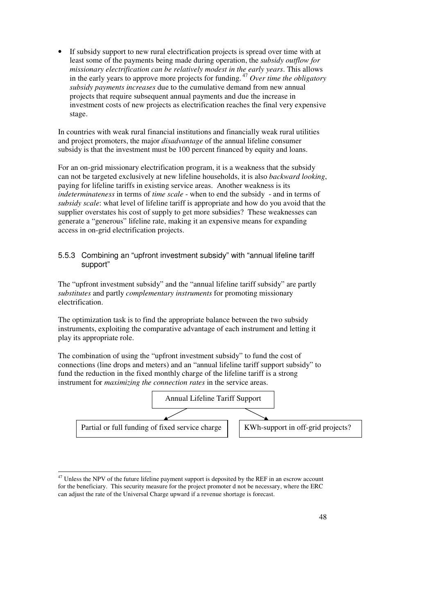If subsidy support to new rural electrification projects is spread over time with at least some of the payments being made during operation, the *subsidy outflow for missionary electrification can be relatively modest in the early years*. This allows in the early years to approve more projects for funding.<sup>47</sup> *Over time the obligatory subsidy payments increases* due to the cumulative demand from new annual projects that require subsequent annual payments and due the increase in investment costs of new projects as electrification reaches the final very expensive stage.

In countries with weak rural financial institutions and financially weak rural utilities and project promoters, the major *disadvantage* of the annual lifeline consumer subsidy is that the investment must be 100 percent financed by equity and loans.

For an on-grid missionary electrification program, it is a weakness that the subsidy can not be targeted exclusively at new lifeline households, it is also *backward looking*, paying for lifeline tariffs in existing service areas. Another weakness is its *indeterminateness* in terms of *time scale* - when to end the subsidy - and in terms of *subsidy scale*: what level of lifeline tariff is appropriate and how do you avoid that the supplier overstates his cost of supply to get more subsidies? These weaknesses can generate a "generous" lifeline rate, making it an expensive means for expanding access in on-grid electrification projects.

## 5.5.3 Combining an "upfront investment subsidy" with "annual lifeline tariff support"

The "upfront investment subsidy" and the "annual lifeline tariff subsidy" are partly *substitutes* and partly *complementary instruments* for promoting missionary electrification.

The optimization task is to find the appropriate balance between the two subsidy instruments, exploiting the comparative advantage of each instrument and letting it play its appropriate role.

The combination of using the "upfront investment subsidy" to fund the cost of connections (line drops and meters) and an "annual lifeline tariff support subsidy" to fund the reduction in the fixed monthly charge of the lifeline tariff is a strong instrument for *maximizing the connection rates* in the service areas.



 $\overline{a}$  $47$  Unless the NPV of the future lifeline payment support is deposited by the REF in an escrow account for the beneficiary. This security measure for the project promoter d not be necessary, where the ERC can adjust the rate of the Universal Charge upward if a revenue shortage is forecast.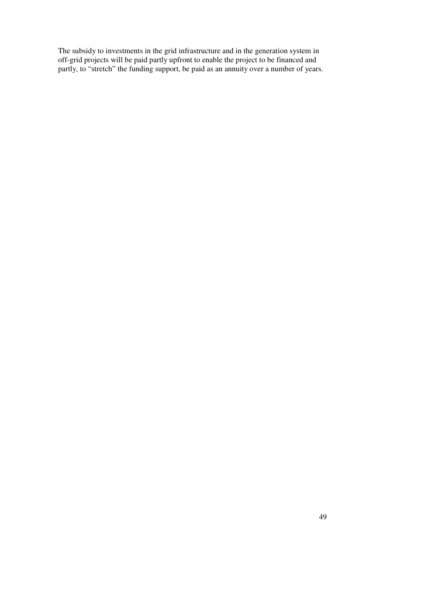The subsidy to investments in the grid infrastructure and in the generation system in off-grid projects will be paid partly upfront to enable the project to be financed and partly, to "stretch" the funding support, be paid as an annuity over a number of years.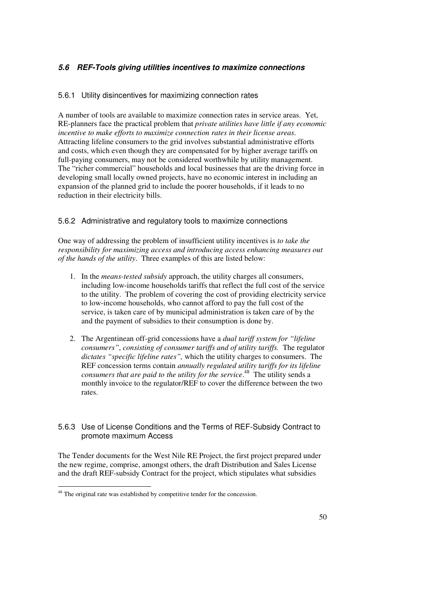# **5.6 REF-Tools giving utilities incentives to maximize connections**

#### 5.6.1 Utility disincentives for maximizing connection rates

A number of tools are available to maximize connection rates in service areas. Yet, RE-planners face the practical problem that *private utilities have little if any economic incentive to make efforts to maximize connection rates in their license areas*. Attracting lifeline consumers to the grid involves substantial administrative efforts and costs, which even though they are compensated for by higher average tariffs on full-paying consumers, may not be considered worthwhile by utility management. The "richer commercial" households and local businesses that are the driving force in developing small locally owned projects, have no economic interest in including an expansion of the planned grid to include the poorer households, if it leads to no reduction in their electricity bills.

#### 5.6.2 Administrative and regulatory tools to maximize connections

One way of addressing the problem of insufficient utility incentives is *to take the responsibility for maximizing access and introducing access enhancing measures out of the hands of the utility*. Three examples of this are listed below:

- 1. In the *means-tested subsidy* approach, the utility charges all consumers, including low-income households tariffs that reflect the full cost of the service to the utility. The problem of covering the cost of providing electricity service to low-income households, who cannot afford to pay the full cost of the service, is taken care of by municipal administration is taken care of by the and the payment of subsidies to their consumption is done by.
- 2. The Argentinean off-grid concessions have a *dual tariff system for "lifeline consumers"*, *consisting of consumer tariffs and of utility tariffs.* The regulator *dictates "specific lifeline rates",* which the utility charges to consumers. The REF concession terms contain *annually regulated utility tariffs for its lifeline consumers that are paid to the utility for the service*. <sup>48</sup> The utility sends a monthly invoice to the regulator/REF to cover the difference between the two rates.

#### 5.6.3 Use of License Conditions and the Terms of REF-Subsidy Contract to promote maximum Access

The Tender documents for the West Nile RE Project, the first project prepared under the new regime, comprise, amongst others, the draft Distribution and Sales License and the draft REF-subsidy Contract for the project, which stipulates what subsidies

 $\overline{a}$  $48$  The original rate was established by competitive tender for the concession.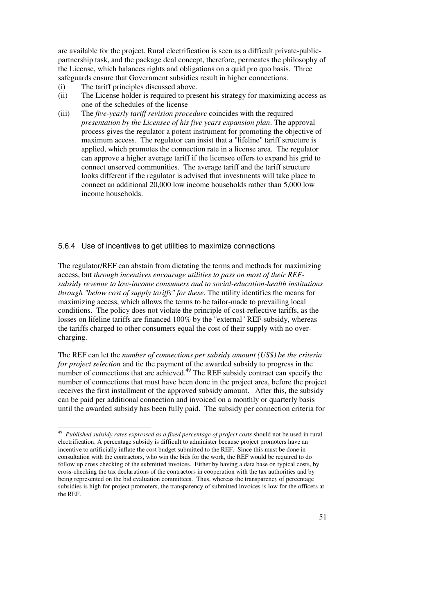are available for the project. Rural electrification is seen as a difficult private-publicpartnership task, and the package deal concept, therefore, permeates the philosophy of the License, which balances rights and obligations on a quid pro quo basis. Three safeguards ensure that Government subsidies result in higher connections.

- (i) The tariff principles discussed above.
- (ii) The License holder is required to present his strategy for maximizing access as one of the schedules of the license
- (iii) The *five-yearly tariff revision procedure* coincides with the required *presentation by the Licensee of his five years expansion plan*. The approval process gives the regulator a potent instrument for promoting the objective of maximum access. The regulator can insist that a "lifeline" tariff structure is applied, which promotes the connection rate in a license area. The regulator can approve a higher average tariff if the licensee offers to expand his grid to connect unserved communities. The average tariff and the tariff structure looks different if the regulator is advised that investments will take place to connect an additional 20,000 low income households rather than 5,000 low income households.

#### 5.6.4 Use of incentives to get utilities to maximize connections

The regulator/REF can abstain from dictating the terms and methods for maximizing access, but *through incentives encourage utilities to pass on most of their REFsubsidy revenue to low-income consumers and to social-education-health institutions through "below cost of supply tariffs" for these.* The utility identifies the means for maximizing access, which allows the terms to be tailor-made to prevailing local conditions. The policy does not violate the principle of cost-reflective tariffs, as the losses on lifeline tariffs are financed 100% by the "external" REF-subsidy, whereas the tariffs charged to other consumers equal the cost of their supply with no overcharging.

The REF can let the *number of connections per subsidy amount (US\$) be the criteria for project selection* and tie the payment of the awarded subsidy to progress in the number of connections that are achieved.<sup>49</sup> The REF subsidy contract can specify the number of connections that must have been done in the project area, before the project receives the first installment of the approved subsidy amount. After this, the subsidy can be paid per additional connection and invoiced on a monthly or quarterly basis until the awarded subsidy has been fully paid. The subsidy per connection criteria for

 49 *Published subsidy rates expressed as a fixed percentage of project costs* should not be used in rural electrification. A percentage subsidy is difficult to administer because project promoters have an incentive to artificially inflate the cost budget submitted to the REF. Since this must be done in consultation with the contractors, who win the bids for the work, the REF would be required to do follow up cross checking of the submitted invoices. Either by having a data base on typical costs, by cross-checking the tax declarations of the contractors in cooperation with the tax authorities and by being represented on the bid evaluation committees. Thus, whereas the transparenc*y* of percentage subsidies is high for project promoters, the transparency of submitted invoices is low for the officers at the REF.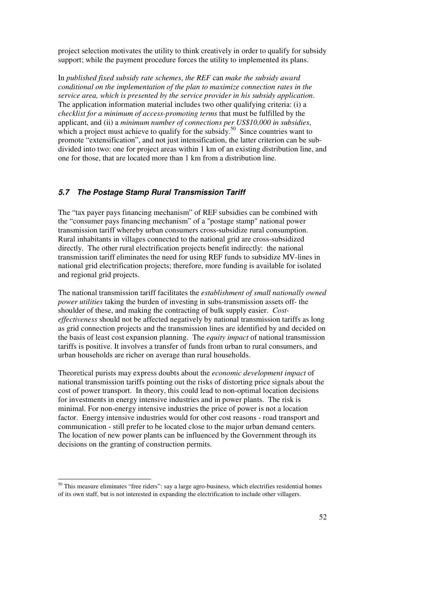project selection motivates the utility to think creatively in order to qualify for subsidy support; while the payment procedure forces the utility to implemented its plans.

In *published fixed subsidy rate schemes*, *the REF* can *make the subsidy award conditional on the implementation of the plan to maximize connection rates in the service area, which is presented by the service provider in his subsidy application*. The application information material includes two other qualifying criteria: (i) a *checklist for a minimum of access-promoting terms* that must be fulfilled by the applicant, and (ii) a *minimum number of connections per US\$10,000 in subsidies*, which a project must achieve to qualify for the subsidy.<sup>50</sup> Since countries want to promote "extensification", and not just intensification, the latter criterion can be subdivided into two: one for project areas within 1 km of an existing distribution line, and one for those, that are located more than 1 km from a distribution line.

#### **5.7 The Postage Stamp Rural Transmission Tariff**

The "tax payer pays financing mechanism" of REF subsidies can be combined with the "consumer pays financing mechanism" of a "postage stamp" national power transmission tariff whereby urban consumers cross-subsidize rural consumption. Rural inhabitants in villages connected to the national grid are cross-subsidized directly. The other rural electrification projects benefit indirectly: the national transmission tariff eliminates the need for using REF funds to subsidize MV-lines in national grid electrification projects; therefore, more funding is available for isolated and regional grid projects.

The national transmission tariff facilitates the *establishment of small nationally owned power utilities* taking the burden of investing in subs-transmission assets off- the shoulder of these, and making the contracting of bulk supply easier. *Costeffectiveness* should not be affected negatively by national transmission tariffs as long as grid connection projects and the transmission lines are identified by and decided on the basis of least cost expansion planning. The *equity impact* of national transmission tariffs is positive. It involves a transfer of funds from urban to rural consumers, and urban households are richer on average than rural households.

Theoretical purists may express doubts about the *economic development impact* of national transmission tariffs pointing out the risks of distorting price signals about the cost of power transport. In theory, this could lead to non-optimal location decisions for investments in energy intensive industries and in power plants. The risk is minimal. For non-energy intensive industries the price of power is not a location factor. Energy intensive industries would for other cost reasons - road transport and communication - still prefer to be located close to the major urban demand centers. The location of new power plants can be influenced by the Government through its decisions on the granting of construction permits.

 $\overline{a}$ 

<sup>&</sup>lt;sup>50</sup> This measure eliminates "free riders": say a large agro-business, which electrifies residential homes of its own staff, but is not interested in expanding the electrification to include other villagers.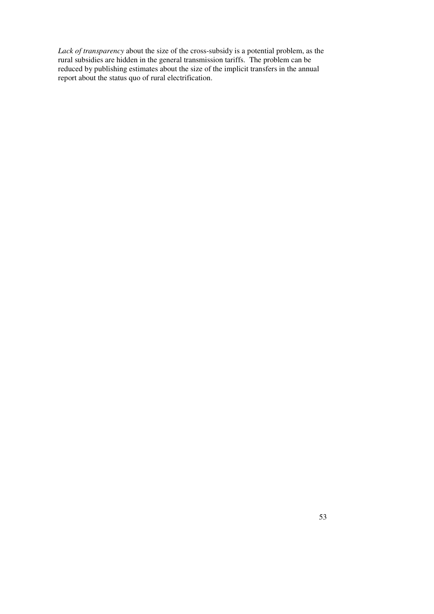*Lack of transparency* about the size of the cross-subsidy is a potential problem, as the rural subsidies are hidden in the general transmission tariffs. The problem can be reduced by publishing estimates about the size of the implicit transfers in the annual report about the status quo of rural electrification.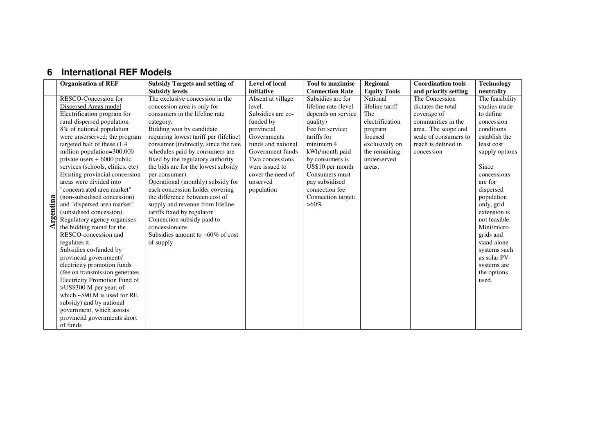# **6 International REF Models**

|          | <b>Organisation of REF</b>         | <b>Subsidy Targets and setting of</b>  | <b>Level of local</b> | <b>Tool to maximise</b> | <b>Regional</b>     | <b>Coordination tools</b> | <b>Technology</b> |
|----------|------------------------------------|----------------------------------------|-----------------------|-------------------------|---------------------|---------------------------|-------------------|
|          |                                    | <b>Subsidy levels</b>                  | initiative            | <b>Connection Rate</b>  | <b>Equity Tools</b> | and priority setting      | neutrality        |
|          | RESCO-Concession for               | The exclusive concession in the        | Absent at village     | Subsidies are for       | National            | The Concession            | The feasibility   |
|          | Dispersed Areas model              | concession area is only for            | level.                | lifeline rate (level    | lifeline tariff     | dictates the total        | studies made      |
|          | Electrification program for        | consumers in the lifeline rate         | Subsidies are co-     | depends on service      | The                 | coverage of               | to define         |
|          | rural dispersed population         | category.                              | funded by             | quality)                | electrification     | communities in the        | concession        |
|          | 8% of national population          | Bidding won by candidate               | provincial            | Fee for service;        | program             | area. The scope and       | conditions        |
|          | were unserserved; the program      | requiring lowest tariff per (lifeline) | Governments           | tariffs for             | focused             | scale of consumers to     | establish the     |
|          | targeted half of these (1.4        | consumer (indirectly, since the rate   | funds and national    | minimum 4               | exclusively on      | reach is defined in       | least cost        |
|          | million population=300,000         | schedules paid by consumers are        | Government funds      | kWh/month paid          | the remaining       | concession                | supply options    |
|          | private users $+6000$ public       | fixed by the regulatory authority      | Two concessions       | by consumers is         | underserved         |                           |                   |
|          | services (schools, clinics, etc)   | the bids are for the lowest subsidy    | were issued to        | US\$10 per month        | areas.              |                           | Since             |
|          | Existing provincial concession     | per consumer).                         | cover the need of     | Consumers must          |                     |                           | concessions       |
|          | areas were divided into            | Operational (monthly) subsidy for      | unserved              | pay subsidised          |                     |                           | are for           |
|          | "concentrated area market"         | each concession holder covering        | population            | connection fee          |                     |                           | dispersed         |
|          | (non-subsidised concession)        | the difference between cost of         |                       | Connection target:      |                     |                           | population        |
| rgentina | and "dispersed area market"        | supply and revenue from lifeline       |                       | $>60\%$                 |                     |                           | only, grid        |
|          | (subsidised concession).           | tariffs fixed by regulator             |                       |                         |                     |                           | extension is      |
|          | Regulatory agency organises        | Connection subsidy paid to             |                       |                         |                     |                           | not feasible.     |
|          | the bidding round for the          | concessionaire                         |                       |                         |                     |                           | Mini/micro-       |
|          | RESCO-concession and               | Subsidies amount to $~60\%$ of cost    |                       |                         |                     |                           | grids and         |
|          | regulates it.                      | of supply                              |                       |                         |                     |                           | stand alone       |
|          | Subsidies co-funded by             |                                        |                       |                         |                     |                           | systems such      |
|          | provincial governments'            |                                        |                       |                         |                     |                           | as solar PV-      |
|          | electricity promotion funds        |                                        |                       |                         |                     |                           | systems are       |
|          | (fee on transmission generates     |                                        |                       |                         |                     |                           | the options       |
|          | Electricity Promotion Fund of      |                                        |                       |                         |                     |                           | used.             |
|          | >US\$300 M per year, of            |                                        |                       |                         |                     |                           |                   |
|          | which $\sim$ \$90 M is used for RE |                                        |                       |                         |                     |                           |                   |
|          | subsidy) and by national           |                                        |                       |                         |                     |                           |                   |
|          | government, which assists          |                                        |                       |                         |                     |                           |                   |
|          | provincial governments short       |                                        |                       |                         |                     |                           |                   |
|          | of funds                           |                                        |                       |                         |                     |                           |                   |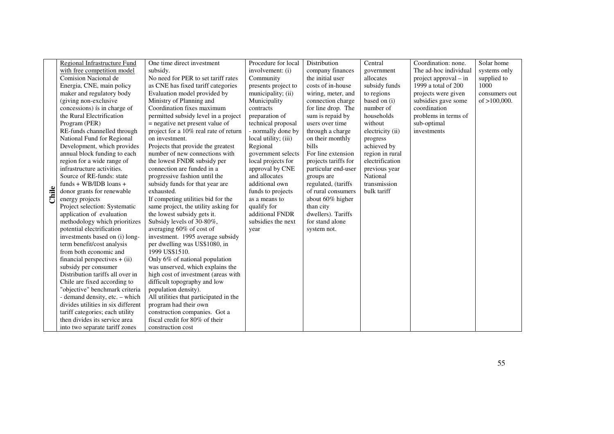|              | Regional Infrastructure Fund       | One time direct investment             | Procedure for local  | Distribution         | Central          | Coordination: none.     | Solar home      |
|--------------|------------------------------------|----------------------------------------|----------------------|----------------------|------------------|-------------------------|-----------------|
|              | with free competition model        | subsidy.                               | involvement: (i)     | company finances     | government       | The ad-hoc individual   | systems only    |
|              | Comision Nacional de               | No need for PER to set tariff rates    | Community            | the initial user     | allocates        | project approval $-$ in | supplied to     |
|              | Energia, CNE, main policy          | as CNE has fixed tariff categories     | presents project to  | costs of in-house    | subsidy funds    | 1999 a total of 200     | 1000            |
|              | maker and regulatory body          | Evaluation model provided by           | municipality; (ii)   | wiring, meter, and   | to regions       | projects were given     | consumers out   |
|              | (giving non-exclusive              | Ministry of Planning and               | Municipality         | connection charge    | based on (i)     | subsidies gave some     | of $>100,000$ . |
|              | concessions) is in charge of       | Coordination fixes maximum             | contracts            | for line drop. The   | number of        | coordination            |                 |
|              | the Rural Electrification          | permitted subsidy level in a project   | preparation of       | sum is repaid by     | households       | problems in terms of    |                 |
|              | Program (PER)                      | = negative net present value of        | technical proposal   | users over time      | without          | sub-optimal             |                 |
|              | RE-funds channelled through        | project for a 10% real rate of return  | - normally done by   | through a charge     | electricity (ii) | investments             |                 |
|              | National Fund for Regional         | on investment.                         | local utility; (iii) | on their monthly     | progress         |                         |                 |
|              | Development, which provides        | Projects that provide the greatest     | Regional             | bills                | achieved by      |                         |                 |
|              | annual block funding to each       | number of new connections with         | government selects   | For line extension   | region in rural  |                         |                 |
|              | region for a wide range of         | the lowest FNDR subsidy per            | local projects for   | projects tariffs for | electrification  |                         |                 |
|              | infrastructure activities.         | connection are funded in a             | approval by CNE      | particular end-user  | previous year    |                         |                 |
|              | Source of RE-funds: state          | progressive fashion until the          | and allocates        | groups are           | National         |                         |                 |
|              | funds + WB/IDB loans +             | subsidy funds for that year are        | additional own       | regulated, (tariffs  | transmission     |                         |                 |
| ${\rm diag}$ | donor grants for renewable         | exhausted.                             | funds to projects    | of rural consumers   | bulk tariff      |                         |                 |
|              | energy projects                    | If competing utilities bid for the     | as a means to        | about 60% higher     |                  |                         |                 |
|              | Project selection: Systematic      | same project, the utility asking for   | qualify for          | than city            |                  |                         |                 |
|              | application of evaluation          | the lowest subsidy gets it.            | additional FNDR      | dwellers). Tariffs   |                  |                         |                 |
|              | methodology which prioritizes      | Subsidy levels of 30-80%,              | subsidies the next   | for stand alone      |                  |                         |                 |
|              | potential electrification          | averaging 60% of cost of               | year                 | system not.          |                  |                         |                 |
|              | investments based on (i) long-     | investment. 1995 average subsidy       |                      |                      |                  |                         |                 |
|              | term benefit/cost analysis         | per dwelling was US\$1080, in          |                      |                      |                  |                         |                 |
|              | from both economic and             | 1999 US\$1510.                         |                      |                      |                  |                         |                 |
|              | financial perspectives $+$ (ii)    | Only 6% of national population         |                      |                      |                  |                         |                 |
|              | subsidy per consumer               | was unserved, which explains the       |                      |                      |                  |                         |                 |
|              | Distribution tariffs all over in   | high cost of investment (areas with    |                      |                      |                  |                         |                 |
|              | Chile are fixed according to       | difficult topography and low           |                      |                      |                  |                         |                 |
|              | "objective" benchmark criteria     | population density).                   |                      |                      |                  |                         |                 |
|              | - demand density, etc. - which     | All utilities that participated in the |                      |                      |                  |                         |                 |
|              | divides utilities in six different | program had their own                  |                      |                      |                  |                         |                 |
|              | tariff categories; each utility    | construction companies. Got a          |                      |                      |                  |                         |                 |
|              | then divides its service area      | fiscal credit for 80% of their         |                      |                      |                  |                         |                 |
|              | into two separate tariff zones     | construction cost                      |                      |                      |                  |                         |                 |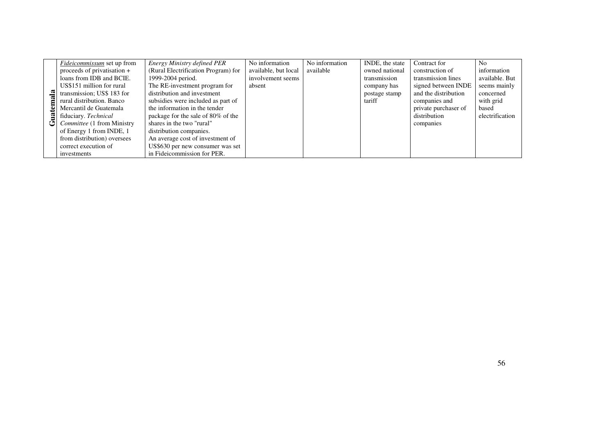|    | <i>Fideicommissum</i> set up from | Energy Ministry defined PER         | No information       | No information | INDE, the state | Contract for         | N <sub>0</sub>  |
|----|-----------------------------------|-------------------------------------|----------------------|----------------|-----------------|----------------------|-----------------|
|    | proceeds of privatisation +       | (Rural Electrification Program) for | available, but local | available      | owned national  | construction of      | information     |
|    | loans from IDB and BCIE.          | 1999-2004 period.                   | involvement seems    |                | transmission    | transmission lines   | available. But  |
|    | US\$151 million for rural         | The RE-investment program for       | absent               |                | company has     | signed between INDE  | seems mainly    |
|    | transmission; US\$ 183 for        | distribution and investment         |                      |                | postage stamp   | and the distribution | concerned       |
|    | rural distribution. Banco         | subsidies were included as part of  |                      |                | tariff          | companies and        | with grid       |
|    | Mercantil de Guatemala            | the information in the tender       |                      |                |                 | private purchaser of | based           |
|    | fiduciary. Technical              | package for the sale of 80% of the  |                      |                |                 | distribution         | electrification |
| اٹ | Committee (1 from Ministry        | shares in the two "rural"           |                      |                |                 | companies            |                 |
|    | of Energy 1 from INDE, 1          | distribution companies.             |                      |                |                 |                      |                 |
|    | from distribution) oversees       | An average cost of investment of    |                      |                |                 |                      |                 |
|    | correct execution of              | US\$630 per new consumer was set    |                      |                |                 |                      |                 |
|    | investments                       | in Fideicommission for PER.         |                      |                |                 |                      |                 |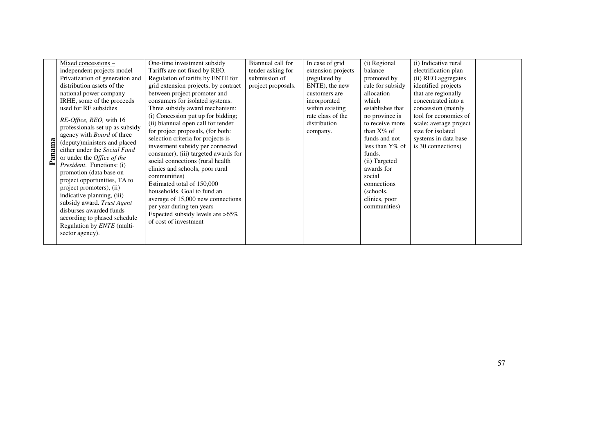|        | Mixed concessions -                                                                                                                                                                                                                                                                                                                                                                         | One-time investment subsidy                                                                                                                                                                                                                                                                                                                                                                                                                           | Biannual call for  | In case of grid                               | (i) Regional                                                                                                                                                                                              | (i) Indicative rural                                                                                               |  |
|--------|---------------------------------------------------------------------------------------------------------------------------------------------------------------------------------------------------------------------------------------------------------------------------------------------------------------------------------------------------------------------------------------------|-------------------------------------------------------------------------------------------------------------------------------------------------------------------------------------------------------------------------------------------------------------------------------------------------------------------------------------------------------------------------------------------------------------------------------------------------------|--------------------|-----------------------------------------------|-----------------------------------------------------------------------------------------------------------------------------------------------------------------------------------------------------------|--------------------------------------------------------------------------------------------------------------------|--|
|        | independent projects model                                                                                                                                                                                                                                                                                                                                                                  | Tariffs are not fixed by REO.                                                                                                                                                                                                                                                                                                                                                                                                                         | tender asking for  | extension projects                            | balance                                                                                                                                                                                                   | electrification plan                                                                                               |  |
|        | Privatization of generation and                                                                                                                                                                                                                                                                                                                                                             | Regulation of tariffs by ENTE for                                                                                                                                                                                                                                                                                                                                                                                                                     | submission of      | (regulated by)                                | promoted by                                                                                                                                                                                               | (ii) REO aggregates                                                                                                |  |
|        | distribution assets of the                                                                                                                                                                                                                                                                                                                                                                  | grid extension projects, by contract                                                                                                                                                                                                                                                                                                                                                                                                                  | project proposals. | ENTE), the new                                | rule for subsidy                                                                                                                                                                                          | identified projects                                                                                                |  |
|        | national power company                                                                                                                                                                                                                                                                                                                                                                      | between project promoter and                                                                                                                                                                                                                                                                                                                                                                                                                          |                    | customers are                                 | allocation                                                                                                                                                                                                | that are regionally                                                                                                |  |
|        | IRHE, some of the proceeds                                                                                                                                                                                                                                                                                                                                                                  | consumers for isolated systems.                                                                                                                                                                                                                                                                                                                                                                                                                       |                    | incorporated                                  | which                                                                                                                                                                                                     | concentrated into a                                                                                                |  |
|        | used for RE subsidies                                                                                                                                                                                                                                                                                                                                                                       | Three subsidy award mechanism:                                                                                                                                                                                                                                                                                                                                                                                                                        |                    | within existing                               | establishes that                                                                                                                                                                                          | concession (mainly                                                                                                 |  |
| Panama | RE-Office, REO, with 16<br>professionals set up as subsidy<br>agency with <i>Board</i> of three<br>(deputy)ministers and placed<br>either under the Social Fund<br>or under the <i>Office of the</i><br><i>President.</i> Functions: (i)<br>promotion (data base on<br>project opportunities, TA to<br>project promoters), (ii)<br>indicative planning, (iii)<br>subsidy award. Trust Agent | (i) Concession put up for bidding;<br>(ii) biannual open call for tender<br>for project proposals, (for both:<br>selection criteria for projects is<br>investment subsidy per connected<br>consumer); (iii) targeted awards for<br>social connections (rural health<br>clinics and schools, poor rural<br>communities)<br>Estimated total of 150,000<br>households. Goal to fund an<br>average of 15,000 new connections<br>per year during ten years |                    | rate class of the<br>distribution<br>company. | no province is<br>to receive more<br>than $X\%$ of<br>funds and not<br>less than $Y\%$ of<br>funds.<br>(ii) Targeted<br>awards for<br>social<br>connections<br>(schools,<br>clinics, poor<br>communities) | tool for economies of<br>scale: average project<br>size for isolated<br>systems in data base<br>is 30 connections) |  |
|        | disburses awarded funds                                                                                                                                                                                                                                                                                                                                                                     | Expected subsidy levels are $>65\%$                                                                                                                                                                                                                                                                                                                                                                                                                   |                    |                                               |                                                                                                                                                                                                           |                                                                                                                    |  |
|        | according to phased schedule                                                                                                                                                                                                                                                                                                                                                                | of cost of investment                                                                                                                                                                                                                                                                                                                                                                                                                                 |                    |                                               |                                                                                                                                                                                                           |                                                                                                                    |  |
|        | Regulation by <i>ENTE</i> (multi-<br>sector agency).                                                                                                                                                                                                                                                                                                                                        |                                                                                                                                                                                                                                                                                                                                                                                                                                                       |                    |                                               |                                                                                                                                                                                                           |                                                                                                                    |  |
|        |                                                                                                                                                                                                                                                                                                                                                                                             |                                                                                                                                                                                                                                                                                                                                                                                                                                                       |                    |                                               |                                                                                                                                                                                                           |                                                                                                                    |  |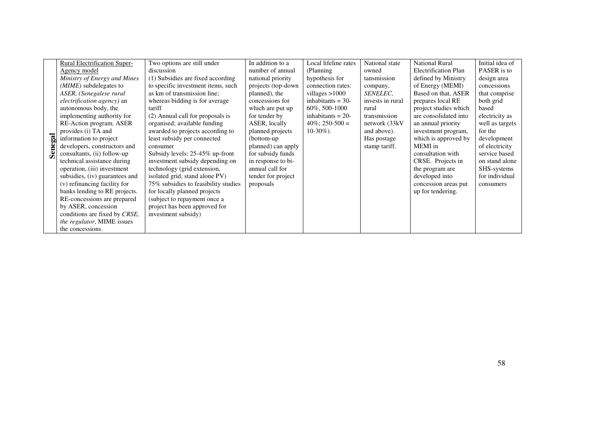|        | <b>Rural Electrification Super-</b> | Two options are still under          | In addition to a   | Local lifeline rates | National state   | <b>National Rural</b>       | Initial idea of |
|--------|-------------------------------------|--------------------------------------|--------------------|----------------------|------------------|-----------------------------|-----------------|
|        | Agency model                        | discussion                           | number of annual   | (Planning)           | owned            | <b>Electrification Plan</b> | PASER is to     |
|        | Ministry of Energy and Mines        | (1) Subsidies are fixed according    | national priority  | hypothesis for       | tansmission      | defined by Ministry         | design area     |
|        | ( <i>MIME</i> ) subdelegates to     | to specific investment items, such   | projects (top-down | connection rates:    | company,         | of Energy (MEMI)            | concessions     |
|        | ASER, (Senegalese rural             | as km of transmission line;          | planned), the      | villages $>1000$     | SENELEC,         | Based on that, ASER         | that comprise   |
|        | <i>electrification agency</i> ) an  | whereas bidding is for average       | concessions for    | inhabitants $=$ 30-  | invests in rural | prepares local RE           | both grid       |
|        | autonomous body, the                | tariff                               | which are put up   | 60\%, 500-1000       | rural            | project studies which       | based           |
|        | implementing authority for          | (2) Annual call for proposals is     | for tender by      | inhabitants $= 20$ - | transmission     | are consolidated into       | electricity as  |
|        | RE-Action program. ASER             | organised; available funding         | ASER, locally      | $40\%$ ; 250-500 =   | network (33kV    | an annual priority          | well as targets |
|        | provides (i) TA and                 | awarded to projects according to     | planned projects   | $10-30\%$ ).         | and above).      | investment program,         | for the         |
| egal   | information to project              | least subsidy per connected          | (bottom-up         |                      | Has postage      | which is approved by        | development     |
|        | developers, constructors and        | consumer                             | planned) can apply |                      | stamp tariff.    | MEMI in                     | of electricity  |
| $S$ en | consultants, (ii) follow-up         | Subsidy levels: 25-45% up-front      | for subsidy funds  |                      |                  | consultation with           | service based   |
|        | technical assistance during         | investment subsidy depending on      | in response to bi- |                      |                  | CRSE. Projects in           | on stand alone  |
|        | operation, (iii) investment         | technology (grid extension,          | annual call for    |                      |                  | the program are             | SHS-systems     |
|        | subsidies, (iv) guarantees and      | isolated grid, stand alone PV)       | tender for project |                      |                  | developed into              | for individual  |
|        | (v) refinancing facility for        | 75% subsidies to feasibility studies | proposals          |                      |                  | concession areas put        | consumers       |
|        | banks lending to RE projects.       | for locally planned projects         |                    |                      |                  | up for tendering.           |                 |
|        | RE-concessions are prepared         | (subject to repayment once a         |                    |                      |                  |                             |                 |
|        | by ASER, concession                 | project has been approved for        |                    |                      |                  |                             |                 |
|        | conditions are fixed by CRSE,       | investment subsidy)                  |                    |                      |                  |                             |                 |
|        | <i>the regulator</i> , MIME issues  |                                      |                    |                      |                  |                             |                 |
|        | the concessions.                    |                                      |                    |                      |                  |                             |                 |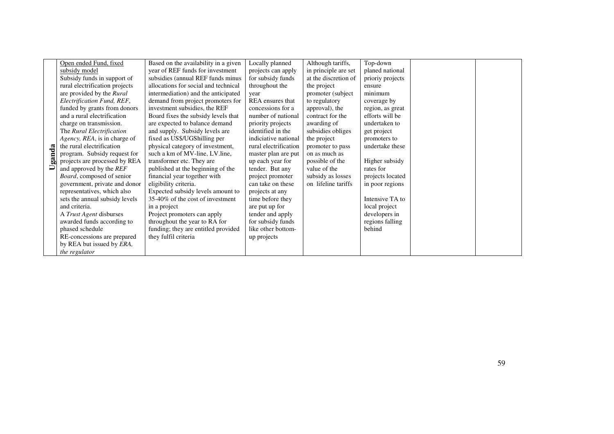|        | Open ended Fund, fixed            | Based on the availability in a given | Locally planned       | Although tariffs,    | Top-down         |  |
|--------|-----------------------------------|--------------------------------------|-----------------------|----------------------|------------------|--|
|        | subsidy model                     | year of REF funds for investment     | projects can apply    | in principle are set | planed national  |  |
|        | Subsidy funds in support of       | subsidies (annual REF funds minus    | for subsidy funds     | at the discretion of | prioriy projects |  |
|        | rural electrification projects    | allocations for social and technical | throughout the        | the project          | ensure           |  |
|        | are provided by the Rural         | intermediation) and the anticipated  | year                  | promoter (subject    | minimum          |  |
|        | Electrification Fund, REF,        | demand from project promoters for    | REA ensures that      | to regulatory        | coverage by      |  |
|        | funded by grants from donors      | investment subsidies, the REF        | concessions for a     | approval), the       | region, as great |  |
|        | and a rural electrification       | Board fixes the subsidy levels that  | number of national    | contract for the     | efforts will be  |  |
|        | charge on transmission.           | are expected to balance demand       | priority projects     | awarding of          | undertaken to    |  |
|        | The Rural Electrification         | and supply. Subsidy levels are       | identified in the     | subsidies obliges    | get project      |  |
|        | Agency, REA, is in charge of      | fixed as US\$/UGShilling per         | indiciative national  | the project          | promoters to     |  |
|        | the rural electrification         | physical category of investment,     | rural electrification | promoter to pass     | undertake these  |  |
| Uganda | program. Subsidy request for      | such a km of MV-line, LV.line,       | master plan are put   | on as much as        |                  |  |
|        | projects are processed by REA     | transformer etc. They are            | up each year for      | possible of the      | Higher subsidy   |  |
|        | and approved by the REF           | published at the beginning of the    | tender. But any       | value of the         | rates for        |  |
|        | <i>Board</i> , composed of senior | financial year together with         | project promoter      | subsidy as losses    | projects located |  |
|        | government, private and donor     | eligibility criteria.                | can take on these     | on lifeline tariffs  | in poor regions  |  |
|        | representatives, which also       | Expected subsidy levels amount to    | projects at any       |                      |                  |  |
|        | sets the annual subsidy levels    | 35-40% of the cost of investment     | time before they      |                      | Intensive TA to  |  |
|        | and criteria.                     | in a project                         | are put up for        |                      | local project    |  |
|        | A <i>Trust Agent</i> disburses    | Project promoters can apply          | tender and apply      |                      | developers in    |  |
|        | awarded funds according to        | throughout the year to RA for        | for subsidy funds     |                      | regions falling  |  |
|        | phased schedule                   | funding; they are entitled provided  | like other bottom-    |                      | behind           |  |
|        | RE-concessions are prepared       | they fulfil criteria                 | up projects           |                      |                  |  |
|        | by REA but issued by ERA,         |                                      |                       |                      |                  |  |
|        | the regulator                     |                                      |                       |                      |                  |  |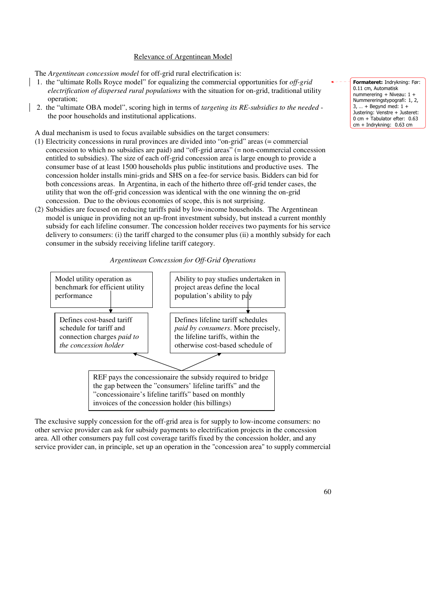#### Relevance of Argentinean Model

The *Argentinean concession model* for off-grid rural electrification is:

- 1. the "ultimate Rolls Royce model" for equalizing the commercial opportunities for *off-grid electrification of dispersed rural populations* with the situation for on-grid, traditional utility operation;
- 2. the "ultimate OBA model", scoring high in terms of *targeting its RE-subsidies to the needed* the poor households and institutional applications.

A dual mechanism is used to focus available subsidies on the target consumers:

- (1) Electricity concessions in rural provinces are divided into "on-grid" areas (= commercial concession to which no subsidies are paid) and "off-grid areas" (= non-commercial concession entitled to subsidies). The size of each off-grid concession area is large enough to provide a consumer base of at least 1500 households plus public institutions and productive uses. The concession holder installs mini-grids and SHS on a fee-for service basis. Bidders can bid for both concessions areas. In Argentina, in each of the hitherto three off-grid tender cases, the utility that won the off-grid concession was identical with the one winning the on-grid concession. Due to the obvious economies of scope, this is not surprising.
- (2) Subsidies are focused on reducing tariffs paid by low-income households. The Argentinean model is unique in providing not an up-front investment subsidy, but instead a current monthly subsidy for each lifeline consumer. The concession holder receives two payments for his service delivery to consumers: (i) the tariff charged to the consumer plus (ii) a monthly subsidy for each consumer in the subsidy receiving lifeline tariff category.





The exclusive supply concession for the off-grid area is for supply to low-income consumers: no other service provider can ask for subsidy payments to electrification projects in the concession area. All other consumers pay full cost coverage tariffs fixed by the concession holder, and any service provider can, in principle, set up an operation in the "concession area" to supply commercial

Formateret: Indrykning: Før: 0.11 cm, Automatisk nummerering + Niveau: 1 + Nummereringstypografi: 1, 2,  $3, ... +$  Begynd med:  $1 +$ Justering: Venstre + Justeret: 0 cm + Tabulator efter: 0.63 cm + Indrykning: 0.63 cm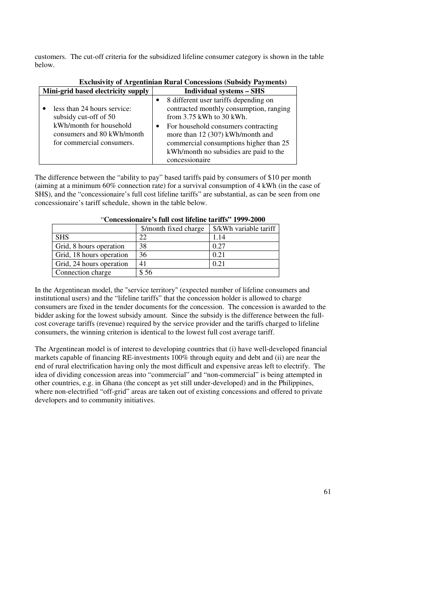customers. The cut-off criteria for the subsidized lifeline consumer category is shown in the table below.

| <b>EXCIUSIVILY OF Argentinian Kural Concessions (Subsidy Payments)</b>                                                                     |                                                                                                                                                                                                                                                                                                   |  |  |  |
|--------------------------------------------------------------------------------------------------------------------------------------------|---------------------------------------------------------------------------------------------------------------------------------------------------------------------------------------------------------------------------------------------------------------------------------------------------|--|--|--|
| Mini-grid based electricity supply                                                                                                         | <b>Individual systems – SHS</b>                                                                                                                                                                                                                                                                   |  |  |  |
| less than 24 hours service:<br>subsidy cut-off of 50<br>kWh/month for household<br>consumers and 80 kWh/month<br>for commercial consumers. | 8 different user tariffs depending on<br>contracted monthly consumption, ranging<br>from $3.75$ kWh to $30$ kWh.<br>For household consumers contracting<br>more than 12 (30?) kWh/month and<br>commercial consumptions higher than 25<br>kWh/month no subsidies are paid to the<br>concessionaire |  |  |  |

**Exclusivity of Argentinian Rural Concessions (Subsidy Payments)**

The difference between the "ability to pay" based tariffs paid by consumers of \$10 per month (aiming at a minimum 60% connection rate) for a survival consumption of 4 kWh (in the case of SHS), and the "concessionaire's full cost lifeline tariffs" are substantial, as can be seen from one concessionaire's tariff schedule, shown in the table below.

|                          | \$/month fixed charge | \$/kWh variable tariff |  |  |
|--------------------------|-----------------------|------------------------|--|--|
| <b>SHS</b>               | 22                    | 1.14                   |  |  |
| Grid, 8 hours operation  | 38                    | 0.27                   |  |  |
| Grid, 18 hours operation | 36                    | 0.21                   |  |  |
| Grid, 24 hours operation | 41                    | 0.21                   |  |  |
| Connection charge        | \$56                  |                        |  |  |

| "Concessionaire's full cost lifeline tariffs" 1999-2000 |  |  |
|---------------------------------------------------------|--|--|
|---------------------------------------------------------|--|--|

In the Argentinean model, the "service territory" (expected number of lifeline consumers and institutional users) and the "lifeline tariffs" that the concession holder is allowed to charge consumers are fixed in the tender documents for the concession. The concession is awarded to the bidder asking for the lowest subsidy amount. Since the subsidy is the difference between the fullcost coverage tariffs (revenue) required by the service provider and the tariffs charged to lifeline consumers, the winning criterion is identical to the lowest full cost average tariff.

The Argentinean model is of interest to developing countries that (i) have well-developed financial markets capable of financing RE-investments 100% through equity and debt and (ii) are near the end of rural electrification having only the most difficult and expensive areas left to electrify. The idea of dividing concession areas into "commercial" and "non-commercial" is being attempted in other countries, e.g. in Ghana (the concept as yet still under-developed) and in the Philippines, where non-electrified "off-grid" areas are taken out of existing concessions and offered to private developers and to community initiatives.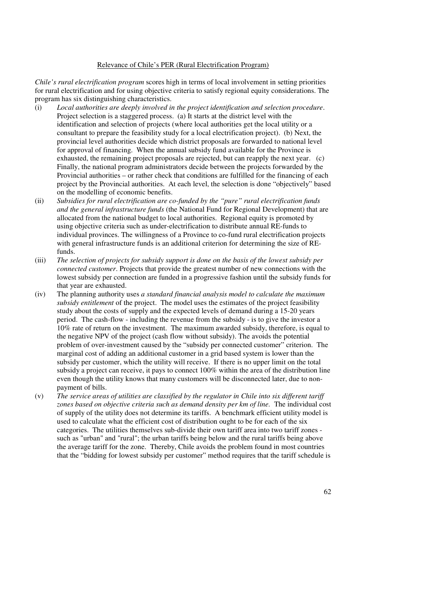#### Relevance of Chile's PER (Rural Electrification Program)

*Chile's rural electrification program* scores high in terms of local involvement in setting priorities for rural electrification and for using objective criteria to satisfy regional equity considerations. The program has six distinguishing characteristics.

- (i) *Local authorities are deeply involved in the project identification and selection procedure*. Project selection is a staggered process. (a) It starts at the district level with the identification and selection of projects (where local authorities get the local utility or a consultant to prepare the feasibility study for a local electrification project). (b) Next, the provincial level authorities decide which district proposals are forwarded to national level for approval of financing. When the annual subsidy fund available for the Province is exhausted, the remaining project proposals are rejected, but can reapply the next year. (c) Finally, the national program administrators decide between the projects forwarded by the Provincial authorities – or rather check that conditions are fulfilled for the financing of each project by the Provincial authorities. At each level, the selection is done "objectively" based on the modelling of economic benefits.
- (ii) *Subsidies for rural electrification are co-funded by the "pure" rural electrification funds and the general infrastructure funds* (the National Fund for Regional Development) that are allocated from the national budget to local authorities. Regional equity is promoted by using objective criteria such as under-electrification to distribute annual RE-funds to individual provinces. The willingness of a Province to co-fund rural electrification projects with general infrastructure funds is an additional criterion for determining the size of REfunds.
- (iii) *The selection of projects for subsidy support is done on the basis of the lowest subsidy per connected customer*. Projects that provide the greatest number of new connections with the lowest subsidy per connection are funded in a progressive fashion until the subsidy funds for that year are exhausted.
- (iv) The planning authority uses *a standard financial analysis model to calculate the maximum subsidy entitlement* of the project. The model uses the estimates of the project feasibility study about the costs of supply and the expected levels of demand during a 15-20 years period. The cash-flow - including the revenue from the subsidy - is to give the investor a 10% rate of return on the investment. The maximum awarded subsidy, therefore, is equal to the negative NPV of the project (cash flow without subsidy). The avoids the potential problem of over-investment caused by the "subsidy per connected customer" criterion. The marginal cost of adding an additional customer in a grid based system is lower than the subsidy per customer, which the utility will receive. If there is no upper limit on the total subsidy a project can receive, it pays to connect 100% within the area of the distribution line even though the utility knows that many customers will be disconnected later, due to nonpayment of bills.
- (v) *The service areas of utilities are classified by the regulator in Chile into six different tariff zones based on objective criteria such as demand density per km of line.* The individual cost of supply of the utility does not determine its tariffs. A benchmark efficient utility model is used to calculate what the efficient cost of distribution ought to be for each of the six categories. The utilities themselves sub-divide their own tariff area into two tariff zones such as "urban" and "rural"; the urban tariffs being below and the rural tariffs being above the average tariff for the zone. Thereby, Chile avoids the problem found in most countries that the "bidding for lowest subsidy per customer" method requires that the tariff schedule is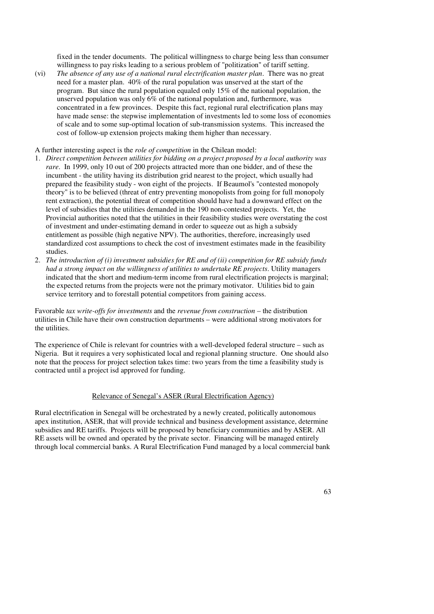fixed in the tender documents. The political willingness to charge being less than consumer willingness to pay risks leading to a serious problem of "politization" of tariff setting.

(vi) *The absence of any use of a national rural electrification master plan*. There was no great need for a master plan. 40% of the rural population was unserved at the start of the program. But since the rural population equaled only 15% of the national population, the unserved population was only 6% of the national population and, furthermore, was concentrated in a few provinces. Despite this fact, regional rural electrification plans may have made sense: the stepwise implementation of investments led to some loss of economies of scale and to some sup-optimal location of sub-transmission systems. This increased the cost of follow-up extension projects making them higher than necessary.

A further interesting aspect is the *role of competition* in the Chilean model:

- 1. *Direct competition between utilities for bidding on a project proposed by a local authority was rare*. In 1999, only 10 out of 200 projects attracted more than one bidder, and of these the incumbent - the utility having its distribution grid nearest to the project, which usually had prepared the feasibility study - won eight of the projects. If Beaumol's "contested monopoly theory" is to be believed (threat of entry preventing monopolists from going for full monopoly rent extraction), the potential threat of competition should have had a downward effect on the level of subsidies that the utilities demanded in the 190 non-contested projects. Yet, the Provincial authorities noted that the utilities in their feasibility studies were overstating the cost of investment and under-estimating demand in order to squeeze out as high a subsidy entitlement as possible (high negative NPV). The authorities, therefore, increasingly used standardized cost assumptions to check the cost of investment estimates made in the feasibility studies.
- 2. *The introduction of (i) investment subsidies for RE and of (ii) competition for RE subsidy funds had a strong impact on the willingness of utilities to undertake RE projects*. Utility managers indicated that the short and medium-term income from rural electrification projects is marginal; the expected returns from the projects were not the primary motivator. Utilities bid to gain service territory and to forestall potential competitors from gaining access.

Favorable *tax write-offs for investments* and the *revenue from construction* – the distribution utilities in Chile have their own construction departments – were additional strong motivators for the utilities.

The experience of Chile is relevant for countries with a well-developed federal structure – such as Nigeria. But it requires a very sophisticated local and regional planning structure. One should also note that the process for project selection takes time: two years from the time a feasibility study is contracted until a project isd approved for funding.

#### Relevance of Senegal's ASER (Rural Electrification Agency)

Rural electrification in Senegal will be orchestrated by a newly created, politically autonomous apex institution, ASER, that will provide technical and business development assistance, determine subsidies and RE tariffs. Projects will be proposed by beneficiary communities and by ASER. All RE assets will be owned and operated by the private sector. Financing will be managed entirely through local commercial banks. A Rural Electrification Fund managed by a local commercial bank